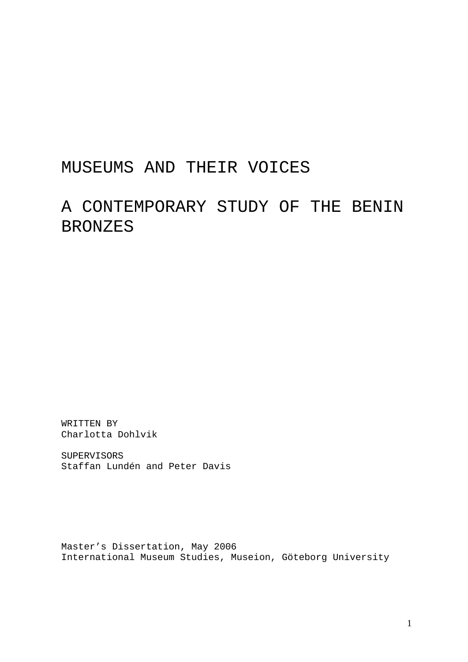# MUSEUMS AND THEIR VOICES

# A CONTEMPORARY STUDY OF THE BENIN BRONZES

WRITTEN BY Charlotta Dohlvik

SUPERVISORS Staffan Lundén and Peter Davis

Master's Dissertation, May 2006 International Museum Studies, Museion, Göteborg University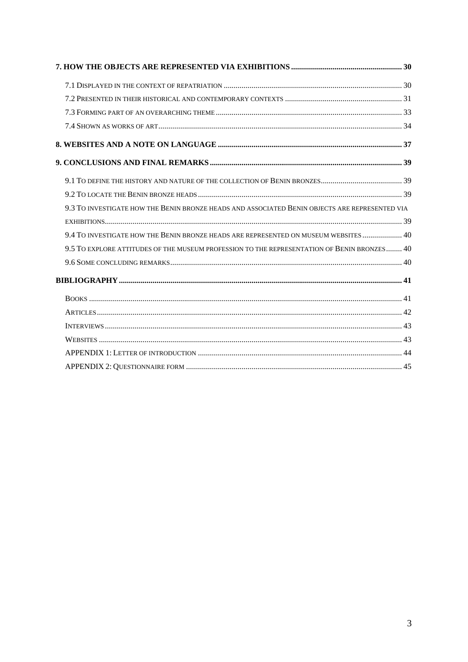| 9.3 TO INVESTIGATE HOW THE BENIN BRONZE HEADS AND ASSOCIATED BENIN OBJECTS ARE REPRESENTED VIA |
|------------------------------------------------------------------------------------------------|
|                                                                                                |
| 9.4 TO INVESTIGATE HOW THE BENIN BRONZE HEADS ARE REPRESENTED ON MUSEUM WEBSITES 40            |
| 9.5 TO EXPLORE ATTITUDES OF THE MUSEUM PROFESSION TO THE REPRESENTATION OF BENIN BRONZES 40    |
|                                                                                                |
|                                                                                                |
|                                                                                                |
|                                                                                                |
|                                                                                                |
|                                                                                                |
|                                                                                                |
|                                                                                                |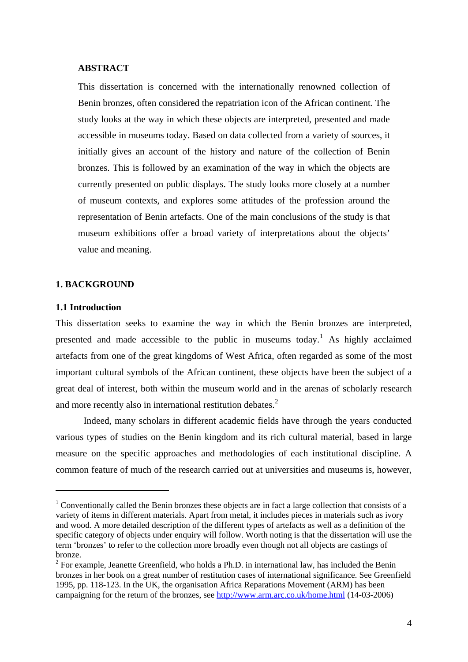# <span id="page-3-0"></span>**ABSTRACT**

This dissertation is concerned with the internationally renowned collection of Benin bronzes, often considered the repatriation icon of the African continent. The study looks at the way in which these objects are interpreted, presented and made accessible in museums today. Based on data collected from a variety of sources, it initially gives an account of the history and nature of the collection of Benin bronzes. This is followed by an examination of the way in which the objects are currently presented on public displays. The study looks more closely at a number of museum contexts, and explores some attitudes of the profession around the representation of Benin artefacts. One of the main conclusions of the study is that museum exhibitions offer a broad variety of interpretations about the objects' value and meaning.

#### **1. BACKGROUND**

# **1.1 Introduction**

1

This dissertation seeks to examine the way in which the Benin bronzes are interpreted, presented and made accessible to the public in museums today.<sup>[1](#page-3-1)</sup> As highly acclaimed artefacts from one of the great kingdoms of West Africa, often regarded as some of the most important cultural symbols of the African continent, these objects have been the subject of a great deal of interest, both within the museum world and in the arenas of scholarly research and more recently also in international restitution debates.<sup>[2](#page-3-2)</sup>

Indeed, many scholars in different academic fields have through the years conducted various types of studies on the Benin kingdom and its rich cultural material, based in large measure on the specific approaches and methodologies of each institutional discipline. A common feature of much of the research carried out at universities and museums is, however,

<span id="page-3-1"></span><sup>&</sup>lt;sup>1</sup> Conventionally called the Benin bronzes these objects are in fact a large collection that consists of a variety of items in different materials. Apart from metal, it includes pieces in materials such as ivory and wood. A more detailed description of the different types of artefacts as well as a definition of the specific category of objects under enquiry will follow. Worth noting is that the dissertation will use the term 'bronzes' to refer to the collection more broadly even though not all objects are castings of bronze.

<span id="page-3-2"></span> $2^2$  For example, Jeanette Greenfield, who holds a Ph.D. in international law, has included the Benin bronzes in her book on a great number of restitution cases of international significance. See Greenfield 1995, pp. 118-123. In the UK, the organisation Africa Reparations Movement (ARM) has been campaigning for the return of the bronzes, see <http://www.arm.arc.co.uk/home.html> (14-03-2006)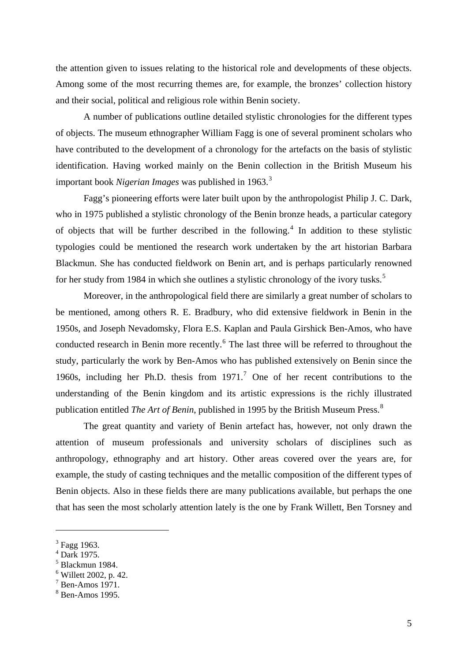the attention given to issues relating to the historical role and developments of these objects. Among some of the most recurring themes are, for example, the bronzes' collection history and their social, political and religious role within Benin society.

A number of publications outline detailed stylistic chronologies for the different types of objects. The museum ethnographer William Fagg is one of several prominent scholars who have contributed to the development of a chronology for the artefacts on the basis of stylistic identification. Having worked mainly on the Benin collection in the British Museum his important book *Nigerian Images* was published in 196[3](#page-4-0).<sup>3</sup>

Fagg's pioneering efforts were later built upon by the anthropologist Philip J. C. Dark, who in 1975 published a stylistic chronology of the Benin bronze heads, a particular category of objects that will be further described in the following.<sup>[4](#page-4-1)</sup> In addition to these stylistic typologies could be mentioned the research work undertaken by the art historian Barbara Blackmun. She has conducted fieldwork on Benin art, and is perhaps particularly renowned for her study from 1984 in which she outlines a stylistic chronology of the ivory tusks.<sup>[5](#page-4-2)</sup>

Moreover, in the anthropological field there are similarly a great number of scholars to be mentioned, among others R. E. Bradbury, who did extensive fieldwork in Benin in the 1950s, and Joseph Nevadomsky, Flora E.S. Kaplan and Paula Girshick Ben-Amos, who have conducted research in Benin more recently. $6$  The last three will be referred to throughout the study, particularly the work by Ben-Amos who has published extensively on Benin since the 1960s, including her Ph.D. thesis from  $1971<sup>7</sup>$  $1971<sup>7</sup>$  $1971<sup>7</sup>$  One of her recent contributions to the understanding of the Benin kingdom and its artistic expressions is the richly illustrated publication entitled *The Art of Benin*, published in 1995 by the British Museum Press.<sup>[8](#page-4-5)</sup>

The great quantity and variety of Benin artefact has, however, not only drawn the attention of museum professionals and university scholars of disciplines such as anthropology, ethnography and art history. Other areas covered over the years are, for example, the study of casting techniques and the metallic composition of the different types of Benin objects. Also in these fields there are many publications available, but perhaps the one that has seen the most scholarly attention lately is the one by Frank Willett, Ben Torsney and

<span id="page-4-0"></span><sup>&</sup>lt;sup>3</sup> Fagg 1963.

<span id="page-4-1"></span><sup>4</sup> Dark 1975.

<span id="page-4-2"></span><sup>5</sup> Blackmun 1984.

<span id="page-4-3"></span><sup>6</sup> Willett 2002, p. 42.

<span id="page-4-4"></span> $7$  Ben-Amos 1971.

<span id="page-4-5"></span><sup>8</sup> Ben-Amos 1995.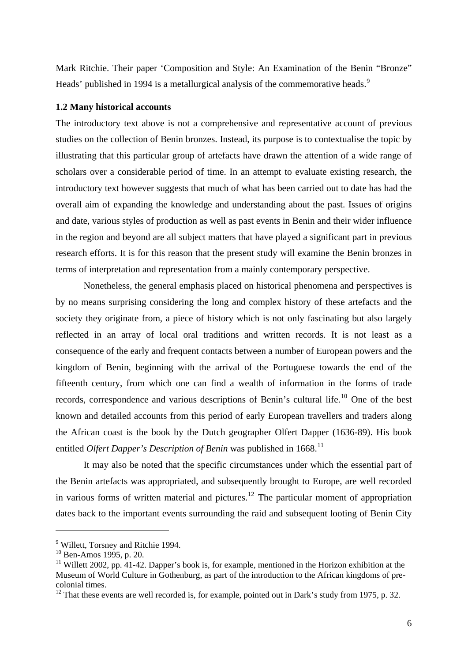<span id="page-5-0"></span>Mark Ritchie. Their paper 'Composition and Style: An Examination of the Benin "Bronze" Heads' published in 1[9](#page-5-1)94 is a metallurgical analysis of the commemorative heads.<sup>9</sup>

### **1.2 Many historical accounts**

The introductory text above is not a comprehensive and representative account of previous studies on the collection of Benin bronzes. Instead, its purpose is to contextualise the topic by illustrating that this particular group of artefacts have drawn the attention of a wide range of scholars over a considerable period of time. In an attempt to evaluate existing research, the introductory text however suggests that much of what has been carried out to date has had the overall aim of expanding the knowledge and understanding about the past. Issues of origins and date, various styles of production as well as past events in Benin and their wider influence in the region and beyond are all subject matters that have played a significant part in previous research efforts. It is for this reason that the present study will examine the Benin bronzes in terms of interpretation and representation from a mainly contemporary perspective.

Nonetheless, the general emphasis placed on historical phenomena and perspectives is by no means surprising considering the long and complex history of these artefacts and the society they originate from, a piece of history which is not only fascinating but also largely reflected in an array of local oral traditions and written records. It is not least as a consequence of the early and frequent contacts between a number of European powers and the kingdom of Benin, beginning with the arrival of the Portuguese towards the end of the fifteenth century, from which one can find a wealth of information in the forms of trade records, correspondence and various descriptions of Benin's cultural life.<sup>[10](#page-5-2)</sup> One of the best known and detailed accounts from this period of early European travellers and traders along the African coast is the book by the Dutch geographer Olfert Dapper (1636-89). His book entitled *Olfert Dapper's Description of Benin* was published in 1668.<sup>[11](#page-5-3)</sup>

It may also be noted that the specific circumstances under which the essential part of the Benin artefacts was appropriated, and subsequently brought to Europe, are well recorded in various forms of written material and pictures.<sup>[12](#page-5-4)</sup> The particular moment of appropriation dates back to the important events surrounding the raid and subsequent looting of Benin City

<span id="page-5-1"></span><sup>&</sup>lt;sup>9</sup> Willett, Torsney and Ritchie 1994.

<span id="page-5-2"></span> $10^{10}$  Ben-Amos 1995, p. 20.

<span id="page-5-3"></span> $11$  Willett 2002, pp. 41-42. Dapper's book is, for example, mentioned in the Horizon exhibition at the Museum of World Culture in Gothenburg, as part of the introduction to the African kingdoms of precolonial times.

<span id="page-5-4"></span><sup>&</sup>lt;sup>12</sup> That these events are well recorded is, for example, pointed out in Dark's study from 1975, p. 32.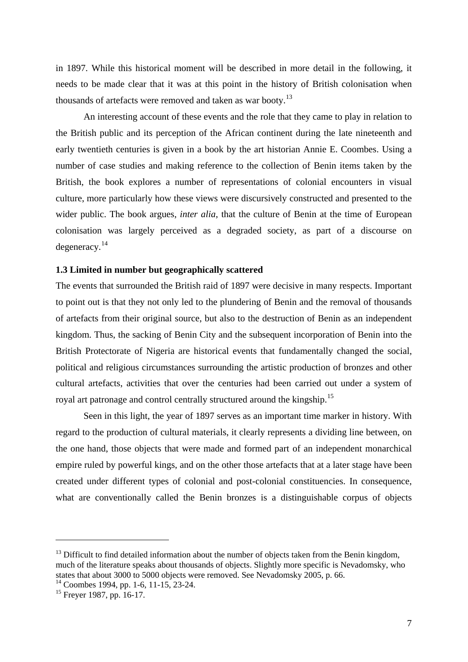<span id="page-6-0"></span>in 1897. While this historical moment will be described in more detail in the following, it needs to be made clear that it was at this point in the history of British colonisation when thousands of artefacts were removed and taken as war booty.<sup>[13](#page-6-1)</sup>

An interesting account of these events and the role that they came to play in relation to the British public and its perception of the African continent during the late nineteenth and early twentieth centuries is given in a book by the art historian Annie E. Coombes. Using a number of case studies and making reference to the collection of Benin items taken by the British, the book explores a number of representations of colonial encounters in visual culture, more particularly how these views were discursively constructed and presented to the wider public. The book argues, *inter alia*, that the culture of Benin at the time of European colonisation was largely perceived as a degraded society, as part of a discourse on degeneracy.[14](#page-6-2)

### **1.3 Limited in number but geographically scattered**

The events that surrounded the British raid of 1897 were decisive in many respects. Important to point out is that they not only led to the plundering of Benin and the removal of thousands of artefacts from their original source, but also to the destruction of Benin as an independent kingdom. Thus, the sacking of Benin City and the subsequent incorporation of Benin into the British Protectorate of Nigeria are historical events that fundamentally changed the social, political and religious circumstances surrounding the artistic production of bronzes and other cultural artefacts, activities that over the centuries had been carried out under a system of royal art patronage and control centrally structured around the kingship.<sup>[15](#page-6-3)</sup>

Seen in this light, the year of 1897 serves as an important time marker in history. With regard to the production of cultural materials, it clearly represents a dividing line between, on the one hand, those objects that were made and formed part of an independent monarchical empire ruled by powerful kings, and on the other those artefacts that at a later stage have been created under different types of colonial and post-colonial constituencies. In consequence, what are conventionally called the Benin bronzes is a distinguishable corpus of objects

<span id="page-6-1"></span> $13$  Difficult to find detailed information about the number of objects taken from the Benin kingdom, much of the literature speaks about thousands of objects. Slightly more specific is Nevadomsky, who states that about 3000 to 5000 objects were removed. See Nevadomsky 2005, p. 66.

<span id="page-6-2"></span> $14$  Coombes 1994, pp. 1-6, 11-15, 23-24.

<span id="page-6-3"></span><sup>&</sup>lt;sup>15</sup> Freyer 1987, pp. 16-17.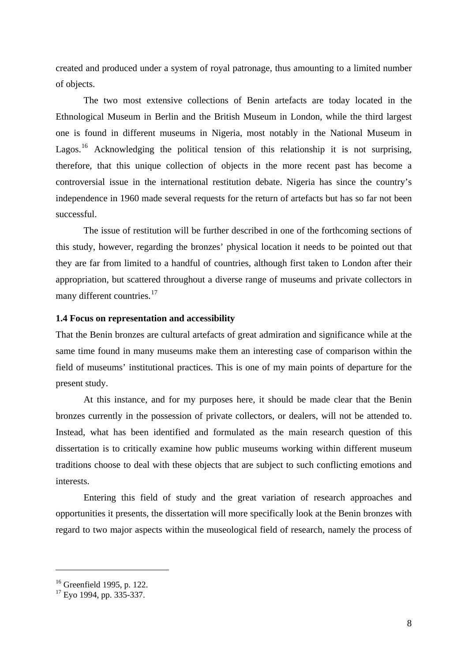<span id="page-7-0"></span>created and produced under a system of royal patronage, thus amounting to a limited number of objects.

The two most extensive collections of Benin artefacts are today located in the Ethnological Museum in Berlin and the British Museum in London, while the third largest one is found in different museums in Nigeria, most notably in the National Museum in Lagos.<sup>[16](#page-7-1)</sup> Acknowledging the political tension of this relationship it is not surprising, therefore, that this unique collection of objects in the more recent past has become a controversial issue in the international restitution debate. Nigeria has since the country's independence in 1960 made several requests for the return of artefacts but has so far not been successful.

The issue of restitution will be further described in one of the forthcoming sections of this study, however, regarding the bronzes' physical location it needs to be pointed out that they are far from limited to a handful of countries, although first taken to London after their appropriation, but scattered throughout a diverse range of museums and private collectors in many different countries.<sup>[17](#page-7-2)</sup>

### **1.4 Focus on representation and accessibility**

That the Benin bronzes are cultural artefacts of great admiration and significance while at the same time found in many museums make them an interesting case of comparison within the field of museums' institutional practices. This is one of my main points of departure for the present study.

At this instance, and for my purposes here, it should be made clear that the Benin bronzes currently in the possession of private collectors, or dealers, will not be attended to. Instead, what has been identified and formulated as the main research question of this dissertation is to critically examine how public museums working within different museum traditions choose to deal with these objects that are subject to such conflicting emotions and interests.

Entering this field of study and the great variation of research approaches and opportunities it presents, the dissertation will more specifically look at the Benin bronzes with regard to two major aspects within the museological field of research, namely the process of

<span id="page-7-1"></span><sup>&</sup>lt;sup>16</sup> Greenfield 1995, p. 122.

<span id="page-7-2"></span> $17$  Eyo 1994, pp. 335-337.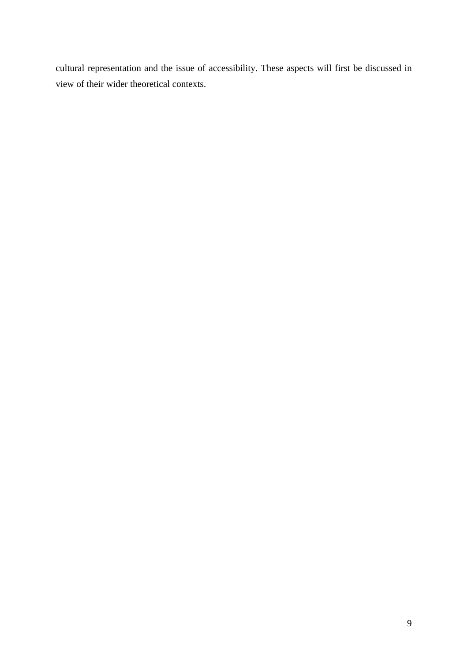cultural representation and the issue of accessibility. These aspects will first be discussed in view of their wider theoretical contexts.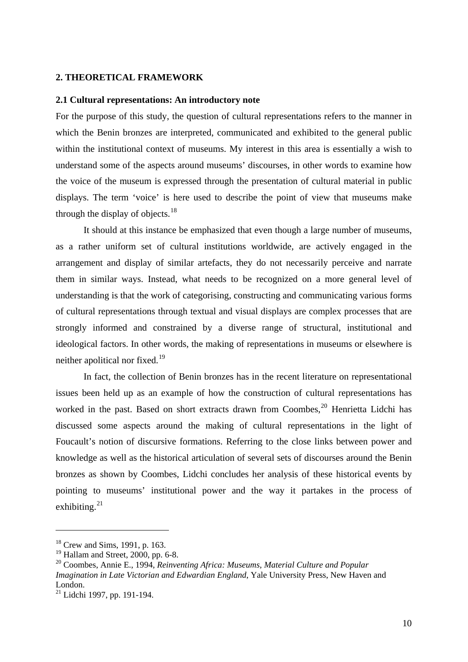### <span id="page-9-0"></span>**2. THEORETICAL FRAMEWORK**

# **2.1 Cultural representations: An introductory note**

For the purpose of this study, the question of cultural representations refers to the manner in which the Benin bronzes are interpreted, communicated and exhibited to the general public within the institutional context of museums. My interest in this area is essentially a wish to understand some of the aspects around museums' discourses, in other words to examine how the voice of the museum is expressed through the presentation of cultural material in public displays. The term 'voice' is here used to describe the point of view that museums make through the display of objects.<sup>[18](#page-9-1)</sup>

It should at this instance be emphasized that even though a large number of museums, as a rather uniform set of cultural institutions worldwide, are actively engaged in the arrangement and display of similar artefacts, they do not necessarily perceive and narrate them in similar ways. Instead, what needs to be recognized on a more general level of understanding is that the work of categorising, constructing and communicating various forms of cultural representations through textual and visual displays are complex processes that are strongly informed and constrained by a diverse range of structural, institutional and ideological factors. In other words, the making of representations in museums or elsewhere is neither apolitical nor fixed.<sup>[19](#page-9-2)</sup>

In fact, the collection of Benin bronzes has in the recent literature on representational issues been held up as an example of how the construction of cultural representations has worked in the past. Based on short extracts drawn from Coombes,  $20$  Henrietta Lidchi has discussed some aspects around the making of cultural representations in the light of Foucault's notion of discursive formations. Referring to the close links between power and knowledge as well as the historical articulation of several sets of discourses around the Benin bronzes as shown by Coombes, Lidchi concludes her analysis of these historical events by pointing to museums' institutional power and the way it partakes in the process of exhibiting. $^{21}$  $^{21}$  $^{21}$ 

<span id="page-9-1"></span><sup>18</sup> Crew and Sims, 1991, p. 163.

<span id="page-9-2"></span> $19$  Hallam and Street, 2000, pp. 6-8.

<span id="page-9-3"></span><sup>20</sup> Coombes, Annie E., 1994, *Reinventing Africa: Museums, Material Culture and Popular Imagination in Late Victorian and Edwardian England*, Yale University Press, New Haven and London.

<span id="page-9-4"></span><sup>21</sup> Lidchi 1997, pp. 191-194.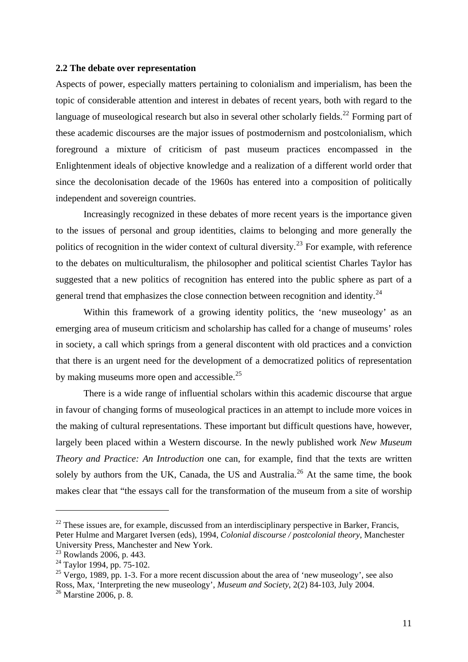# <span id="page-10-0"></span>**2.2 The debate over representation**

Aspects of power, especially matters pertaining to colonialism and imperialism, has been the topic of considerable attention and interest in debates of recent years, both with regard to the language of museological research but also in several other scholarly fields.<sup>[22](#page-10-1)</sup> Forming part of these academic discourses are the major issues of postmodernism and postcolonialism, which foreground a mixture of criticism of past museum practices encompassed in the Enlightenment ideals of objective knowledge and a realization of a different world order that since the decolonisation decade of the 1960s has entered into a composition of politically independent and sovereign countries.

Increasingly recognized in these debates of more recent years is the importance given to the issues of personal and group identities, claims to belonging and more generally the politics of recognition in the wider context of cultural diversity.<sup>[23](#page-10-2)</sup> For example, with reference to the debates on multiculturalism, the philosopher and political scientist Charles Taylor has suggested that a new politics of recognition has entered into the public sphere as part of a general trend that emphasizes the close connection between recognition and identity.<sup>[24](#page-10-3)</sup>

Within this framework of a growing identity politics, the 'new museology' as an emerging area of museum criticism and scholarship has called for a change of museums' roles in society, a call which springs from a general discontent with old practices and a conviction that there is an urgent need for the development of a democratized politics of representation by making museums more open and accessible.<sup>[25](#page-10-4)</sup>

There is a wide range of influential scholars within this academic discourse that argue in favour of changing forms of museological practices in an attempt to include more voices in the making of cultural representations. These important but difficult questions have, however, largely been placed within a Western discourse. In the newly published work *New Museum Theory and Practice: An Introduction* one can, for example, find that the texts are written solely by authors from the UK, Canada, the US and Australia.<sup>[26](#page-10-5)</sup> At the same time, the book makes clear that "the essays call for the transformation of the museum from a site of worship

<span id="page-10-1"></span> $22$  These issues are, for example, discussed from an interdisciplinary perspective in Barker, Francis, Peter Hulme and Margaret Iversen (eds), 1994, *Colonial discourse / postcolonial theory*, Manchester University Press, Manchester and New York.

<span id="page-10-2"></span> $23$  Rowlands 2006, p. 443.

<span id="page-10-3"></span><sup>&</sup>lt;sup>24</sup> Taylor 1994, pp. 75-102.

<span id="page-10-4"></span> $25$  Vergo, 1989, pp. 1-3. For a more recent discussion about the area of 'new museology', see also Ross, Max, 'Interpreting the new museology', *Museum and Society*, 2(2) 84-103, July 2004.

<span id="page-10-5"></span><sup>26</sup> Marstine 2006, p. 8.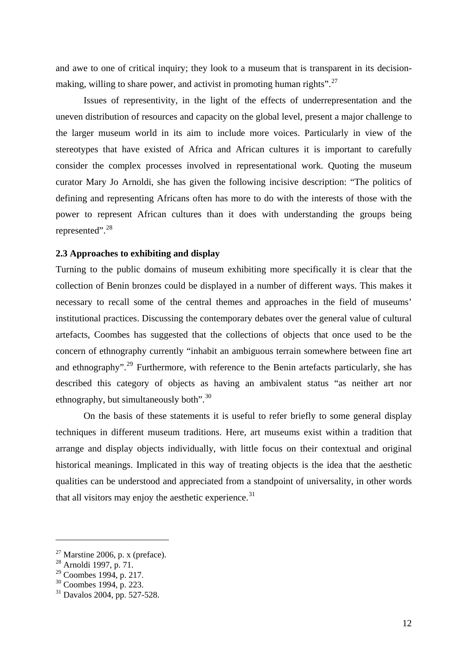<span id="page-11-0"></span>and awe to one of critical inquiry; they look to a museum that is transparent in its decision-making, willing to share power, and activist in promoting human rights".<sup>[27](#page-11-1)</sup>

Issues of representivity, in the light of the effects of underrepresentation and the uneven distribution of resources and capacity on the global level, present a major challenge to the larger museum world in its aim to include more voices. Particularly in view of the stereotypes that have existed of Africa and African cultures it is important to carefully consider the complex processes involved in representational work. Quoting the museum curator Mary Jo Arnoldi, she has given the following incisive description: "The politics of defining and representing Africans often has more to do with the interests of those with the power to represent African cultures than it does with understanding the groups being represented".[28](#page-11-2)

# **2.3 Approaches to exhibiting and display**

Turning to the public domains of museum exhibiting more specifically it is clear that the collection of Benin bronzes could be displayed in a number of different ways. This makes it necessary to recall some of the central themes and approaches in the field of museums' institutional practices. Discussing the contemporary debates over the general value of cultural artefacts, Coombes has suggested that the collections of objects that once used to be the concern of ethnography currently "inhabit an ambiguous terrain somewhere between fine art and ethnography".<sup>[29](#page-11-3)</sup> Furthermore, with reference to the Benin artefacts particularly, she has described this category of objects as having an ambivalent status "as neither art nor ethnography, but simultaneously both".<sup>[30](#page-11-4)</sup>

On the basis of these statements it is useful to refer briefly to some general display techniques in different museum traditions. Here, art museums exist within a tradition that arrange and display objects individually, with little focus on their contextual and original historical meanings. Implicated in this way of treating objects is the idea that the aesthetic qualities can be understood and appreciated from a standpoint of universality, in other words that all visitors may enjoy the aesthetic experience. $31$ 

<span id="page-11-1"></span> $27$  Marstine 2006, p. x (preface).

<span id="page-11-2"></span><sup>28</sup> Arnoldi 1997, p. 71.

<span id="page-11-3"></span> $29$  Coombes 1994, p. 217.

<span id="page-11-4"></span><sup>30</sup> Coombes 1994, p. 223.

<span id="page-11-5"></span><sup>31</sup> Davalos 2004, pp. 527-528.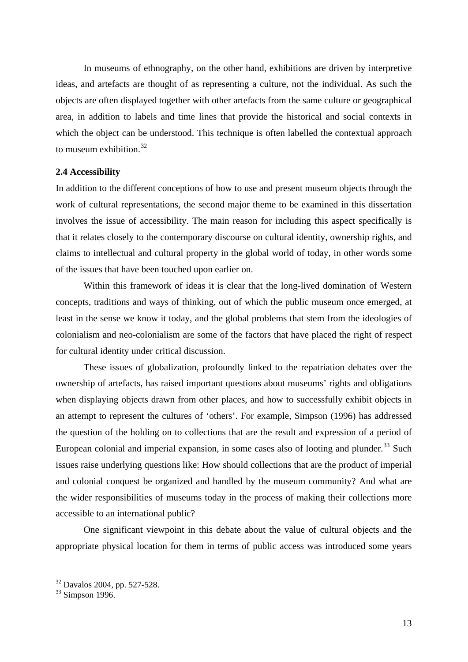<span id="page-12-0"></span>In museums of ethnography, on the other hand, exhibitions are driven by interpretive ideas, and artefacts are thought of as representing a culture, not the individual. As such the objects are often displayed together with other artefacts from the same culture or geographical area, in addition to labels and time lines that provide the historical and social contexts in which the object can be understood. This technique is often labelled the contextual approach to museum exhibition. $32$ 

#### **2.4 Accessibility**

In addition to the different conceptions of how to use and present museum objects through the work of cultural representations, the second major theme to be examined in this dissertation involves the issue of accessibility. The main reason for including this aspect specifically is that it relates closely to the contemporary discourse on cultural identity, ownership rights, and claims to intellectual and cultural property in the global world of today, in other words some of the issues that have been touched upon earlier on.

Within this framework of ideas it is clear that the long-lived domination of Western concepts, traditions and ways of thinking, out of which the public museum once emerged, at least in the sense we know it today, and the global problems that stem from the ideologies of colonialism and neo-colonialism are some of the factors that have placed the right of respect for cultural identity under critical discussion.

These issues of globalization, profoundly linked to the repatriation debates over the ownership of artefacts, has raised important questions about museums' rights and obligations when displaying objects drawn from other places, and how to successfully exhibit objects in an attempt to represent the cultures of 'others'. For example, Simpson (1996) has addressed the question of the holding on to collections that are the result and expression of a period of European colonial and imperial expansion, in some cases also of looting and plunder.<sup>[33](#page-12-2)</sup> Such issues raise underlying questions like: How should collections that are the product of imperial and colonial conquest be organized and handled by the museum community? And what are the wider responsibilities of museums today in the process of making their collections more accessible to an international public?

One significant viewpoint in this debate about the value of cultural objects and the appropriate physical location for them in terms of public access was introduced some years

<sup>32</sup> Davalos 2004, pp. 527-528.

<span id="page-12-2"></span><span id="page-12-1"></span> $33$  Simpson 1996.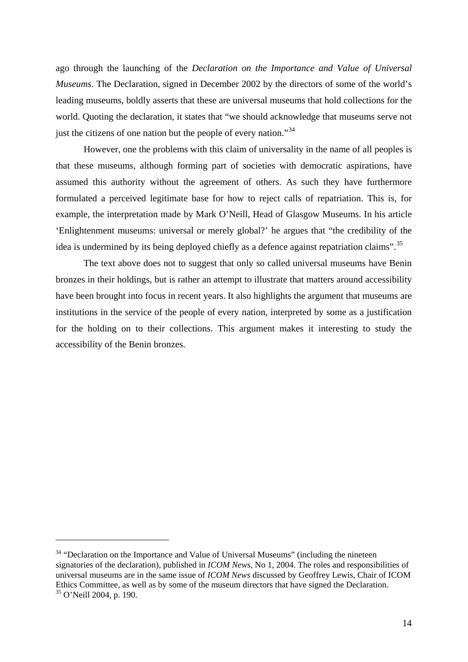ago through the launching of the *Declaration on the Importance and Value of Universal Museums*. The Declaration, signed in December 2002 by the directors of some of the world's leading museums, boldly asserts that these are universal museums that hold collections for the world. Quoting the declaration, it states that "we should acknowledge that museums serve not just the citizens of one nation but the people of every nation."<sup>[34](#page-13-0)</sup>

However, one the problems with this claim of universality in the name of all peoples is that these museums, although forming part of societies with democratic aspirations, have assumed this authority without the agreement of others. As such they have furthermore formulated a perceived legitimate base for how to reject calls of repatriation. This is, for example, the interpretation made by Mark O'Neill, Head of Glasgow Museums. In his article 'Enlightenment museums: universal or merely global?' he argues that "the credibility of the idea is undermined by its being deployed chiefly as a defence against repatriation claims".<sup>[35](#page-13-1)</sup>

The text above does not to suggest that only so called universal museums have Benin bronzes in their holdings, but is rather an attempt to illustrate that matters around accessibility have been brought into focus in recent years. It also highlights the argument that museums are institutions in the service of the people of every nation, interpreted by some as a justification for the holding on to their collections. This argument makes it interesting to study the accessibility of the Benin bronzes.

<span id="page-13-1"></span><span id="page-13-0"></span> $34$  "Declaration on the Importance and Value of Universal Museums" (including the nineteen signatories of the declaration), published in *ICOM News*, No 1, 2004. The roles and responsibilities of universal museums are in the same issue of *ICOM News* discussed by Geoffrey Lewis, Chair of ICOM Ethics Committee, as well as by some of the museum directors that have signed the Declaration. 35 O'Neill 2004, p. 190.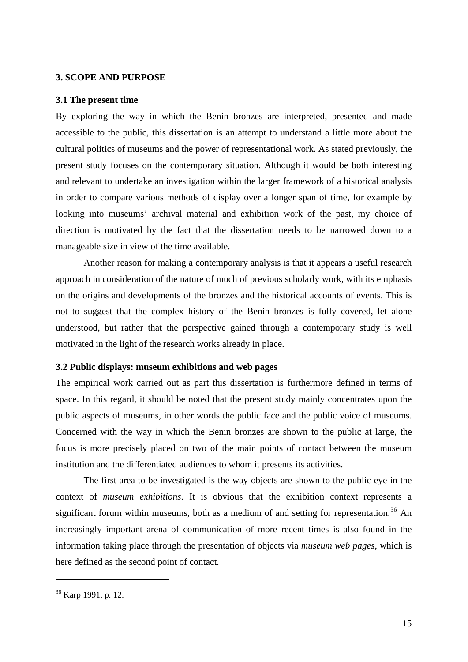#### <span id="page-14-0"></span>**3. SCOPE AND PURPOSE**

# **3.1 The present time**

By exploring the way in which the Benin bronzes are interpreted, presented and made accessible to the public, this dissertation is an attempt to understand a little more about the cultural politics of museums and the power of representational work. As stated previously, the present study focuses on the contemporary situation. Although it would be both interesting and relevant to undertake an investigation within the larger framework of a historical analysis in order to compare various methods of display over a longer span of time, for example by looking into museums' archival material and exhibition work of the past, my choice of direction is motivated by the fact that the dissertation needs to be narrowed down to a manageable size in view of the time available.

Another reason for making a contemporary analysis is that it appears a useful research approach in consideration of the nature of much of previous scholarly work, with its emphasis on the origins and developments of the bronzes and the historical accounts of events. This is not to suggest that the complex history of the Benin bronzes is fully covered, let alone understood, but rather that the perspective gained through a contemporary study is well motivated in the light of the research works already in place.

#### **3.2 Public displays: museum exhibitions and web pages**

The empirical work carried out as part this dissertation is furthermore defined in terms of space. In this regard, it should be noted that the present study mainly concentrates upon the public aspects of museums, in other words the public face and the public voice of museums. Concerned with the way in which the Benin bronzes are shown to the public at large, the focus is more precisely placed on two of the main points of contact between the museum institution and the differentiated audiences to whom it presents its activities.

The first area to be investigated is the way objects are shown to the public eye in the context of *museum exhibitions*. It is obvious that the exhibition context represents a significant forum within museums, both as a medium of and setting for representation.<sup>[36](#page-14-1)</sup> An increasingly important arena of communication of more recent times is also found in the information taking place through the presentation of objects via *museum web pages*, which is here defined as the second point of contact.

<span id="page-14-1"></span><sup>36</sup> Karp 1991, p. 12.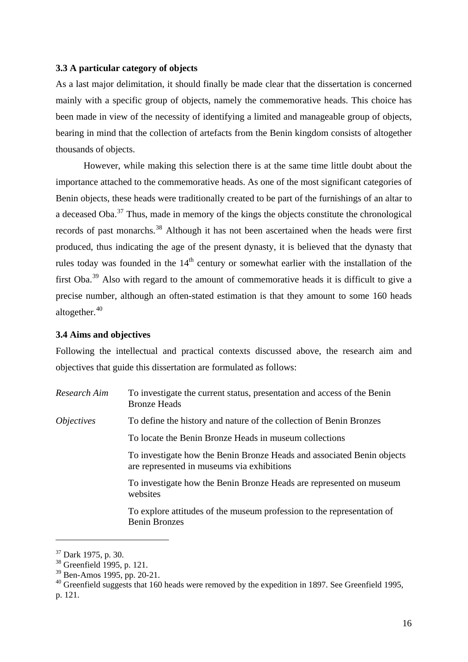# <span id="page-15-0"></span>**3.3 A particular category of objects**

As a last major delimitation, it should finally be made clear that the dissertation is concerned mainly with a specific group of objects, namely the commemorative heads. This choice has been made in view of the necessity of identifying a limited and manageable group of objects, bearing in mind that the collection of artefacts from the Benin kingdom consists of altogether thousands of objects.

However, while making this selection there is at the same time little doubt about the importance attached to the commemorative heads. As one of the most significant categories of Benin objects, these heads were traditionally created to be part of the furnishings of an altar to a deceased  $Oba<sup>37</sup>$  $Oba<sup>37</sup>$  $Oba<sup>37</sup>$ . Thus, made in memory of the kings the objects constitute the chronological records of past monarchs.<sup>[38](#page-15-2)</sup> Although it has not been ascertained when the heads were first produced, thus indicating the age of the present dynasty, it is believed that the dynasty that rules today was founded in the  $14<sup>th</sup>$  century or somewhat earlier with the installation of the first Oba.[39](#page-15-3) Also with regard to the amount of commemorative heads it is difficult to give a precise number, although an often-stated estimation is that they amount to some 160 heads altogether. $40$ 

#### **3.4 Aims and objectives**

Following the intellectual and practical contexts discussed above, the research aim and objectives that guide this dissertation are formulated as follows:

*Research Aim* To investigate the current status, presentation and access of the Benin Bronze Heads *Objectives* To define the history and nature of the collection of Benin Bronzes To locate the Benin Bronze Heads in museum collections To investigate how the Benin Bronze Heads and associated Benin objects are represented in museums via exhibitions To investigate how the Benin Bronze Heads are represented on museum websites To explore attitudes of the museum profession to the representation of Benin Bronzes

<span id="page-15-1"></span><sup>37</sup> Dark 1975, p. 30.

<span id="page-15-2"></span><sup>38</sup> Greenfield 1995, p. 121.

<span id="page-15-3"></span><sup>39</sup> Ben-Amos 1995, pp. 20-21.

<span id="page-15-4"></span> $40$  Greenfield suggests that 160 heads were removed by the expedition in 1897. See Greenfield 1995, p. 121.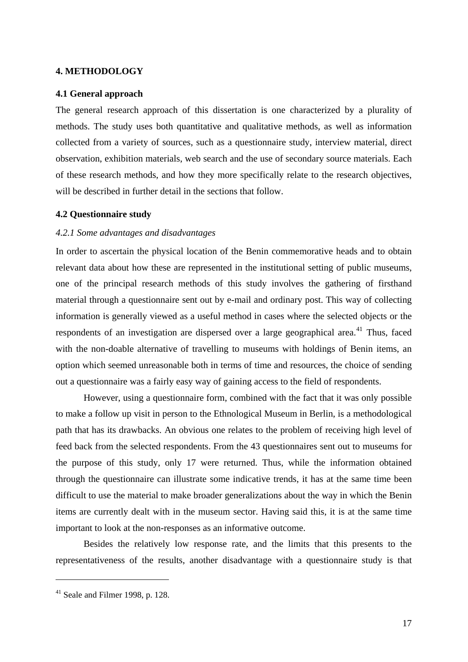#### <span id="page-16-0"></span>**4. METHODOLOGY**

#### **4.1 General approach**

The general research approach of this dissertation is one characterized by a plurality of methods. The study uses both quantitative and qualitative methods, as well as information collected from a variety of sources, such as a questionnaire study, interview material, direct observation, exhibition materials, web search and the use of secondary source materials. Each of these research methods, and how they more specifically relate to the research objectives, will be described in further detail in the sections that follow.

#### **4.2 Questionnaire study**

#### *4.2.1 Some advantages and disadvantages*

In order to ascertain the physical location of the Benin commemorative heads and to obtain relevant data about how these are represented in the institutional setting of public museums, one of the principal research methods of this study involves the gathering of firsthand material through a questionnaire sent out by e-mail and ordinary post. This way of collecting information is generally viewed as a useful method in cases where the selected objects or the respondents of an investigation are dispersed over a large geographical area.<sup>[41](#page-16-1)</sup> Thus, faced with the non-doable alternative of travelling to museums with holdings of Benin items, an option which seemed unreasonable both in terms of time and resources, the choice of sending out a questionnaire was a fairly easy way of gaining access to the field of respondents.

However, using a questionnaire form, combined with the fact that it was only possible to make a follow up visit in person to the Ethnological Museum in Berlin, is a methodological path that has its drawbacks. An obvious one relates to the problem of receiving high level of feed back from the selected respondents. From the 43 questionnaires sent out to museums for the purpose of this study, only 17 were returned. Thus, while the information obtained through the questionnaire can illustrate some indicative trends, it has at the same time been difficult to use the material to make broader generalizations about the way in which the Benin items are currently dealt with in the museum sector. Having said this, it is at the same time important to look at the non-responses as an informative outcome.

Besides the relatively low response rate, and the limits that this presents to the representativeness of the results, another disadvantage with a questionnaire study is that

<span id="page-16-1"></span><sup>41</sup> Seale and Filmer 1998, p. 128.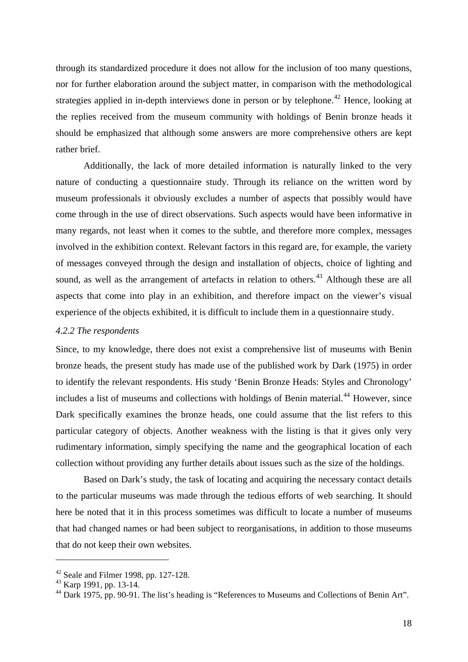<span id="page-17-0"></span>through its standardized procedure it does not allow for the inclusion of too many questions, nor for further elaboration around the subject matter, in comparison with the methodological strategies applied in in-depth interviews done in person or by telephone.<sup>[42](#page-17-1)</sup> Hence, looking at the replies received from the museum community with holdings of Benin bronze heads it should be emphasized that although some answers are more comprehensive others are kept rather brief.

Additionally, the lack of more detailed information is naturally linked to the very nature of conducting a questionnaire study. Through its reliance on the written word by museum professionals it obviously excludes a number of aspects that possibly would have come through in the use of direct observations. Such aspects would have been informative in many regards, not least when it comes to the subtle, and therefore more complex, messages involved in the exhibition context. Relevant factors in this regard are, for example, the variety of messages conveyed through the design and installation of objects, choice of lighting and sound, as well as the arrangement of artefacts in relation to others.<sup>[43](#page-17-2)</sup> Although these are all aspects that come into play in an exhibition, and therefore impact on the viewer's visual experience of the objects exhibited, it is difficult to include them in a questionnaire study.

#### *4.2.2 The respondents*

Since, to my knowledge, there does not exist a comprehensive list of museums with Benin bronze heads, the present study has made use of the published work by Dark (1975) in order to identify the relevant respondents. His study 'Benin Bronze Heads: Styles and Chronology' includes a list of museums and collections with holdings of Benin material.<sup>[44](#page-17-3)</sup> However, since Dark specifically examines the bronze heads, one could assume that the list refers to this particular category of objects. Another weakness with the listing is that it gives only very rudimentary information, simply specifying the name and the geographical location of each collection without providing any further details about issues such as the size of the holdings.

Based on Dark's study, the task of locating and acquiring the necessary contact details to the particular museums was made through the tedious efforts of web searching. It should here be noted that it in this process sometimes was difficult to locate a number of museums that had changed names or had been subject to reorganisations, in addition to those museums that do not keep their own websites.

<sup>42</sup> Seale and Filmer 1998, pp. 127-128.

<span id="page-17-2"></span><span id="page-17-1"></span><sup>&</sup>lt;sup>43</sup> Karp 1991, pp. 13-14.

<span id="page-17-3"></span><sup>&</sup>lt;sup>44</sup> Dark 1975, pp. 90-91. The list's heading is "References to Museums and Collections of Benin Art".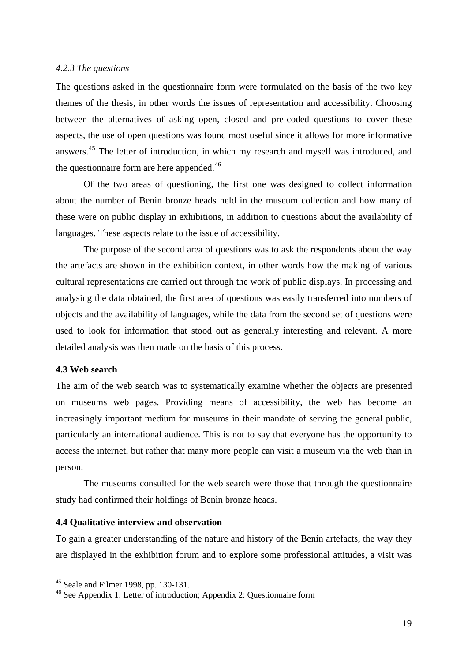#### <span id="page-18-0"></span>*4.2.3 The questions*

The questions asked in the questionnaire form were formulated on the basis of the two key themes of the thesis, in other words the issues of representation and accessibility. Choosing between the alternatives of asking open, closed and pre-coded questions to cover these aspects, the use of open questions was found most useful since it allows for more informative answers.[45](#page-18-1) The letter of introduction, in which my research and myself was introduced, and the questionnaire form are here appended.<sup>[46](#page-18-2)</sup>

Of the two areas of questioning, the first one was designed to collect information about the number of Benin bronze heads held in the museum collection and how many of these were on public display in exhibitions, in addition to questions about the availability of languages. These aspects relate to the issue of accessibility.

The purpose of the second area of questions was to ask the respondents about the way the artefacts are shown in the exhibition context, in other words how the making of various cultural representations are carried out through the work of public displays. In processing and analysing the data obtained, the first area of questions was easily transferred into numbers of objects and the availability of languages, while the data from the second set of questions were used to look for information that stood out as generally interesting and relevant. A more detailed analysis was then made on the basis of this process.

# **4.3 Web search**

<u>.</u>

The aim of the web search was to systematically examine whether the objects are presented on museums web pages. Providing means of accessibility, the web has become an increasingly important medium for museums in their mandate of serving the general public, particularly an international audience. This is not to say that everyone has the opportunity to access the internet, but rather that many more people can visit a museum via the web than in person.

The museums consulted for the web search were those that through the questionnaire study had confirmed their holdings of Benin bronze heads.

#### **4.4 Qualitative interview and observation**

To gain a greater understanding of the nature and history of the Benin artefacts, the way they are displayed in the exhibition forum and to explore some professional attitudes, a visit was

<span id="page-18-1"></span><sup>45</sup> Seale and Filmer 1998, pp. 130-131.

<span id="page-18-2"></span><sup>46</sup> See Appendix 1: Letter of introduction; Appendix 2: Questionnaire form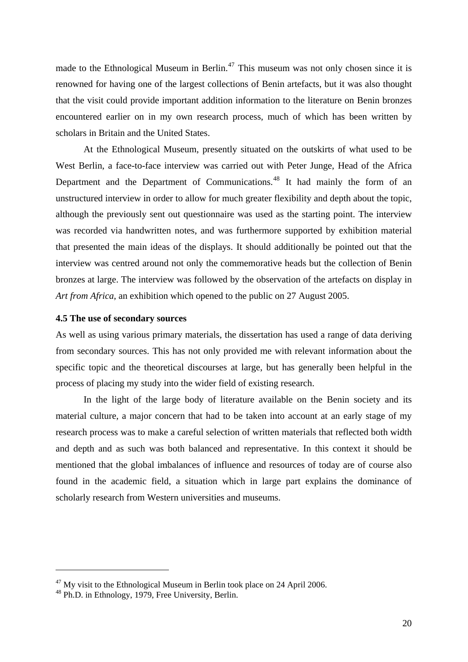<span id="page-19-0"></span>made to the Ethnological Museum in Berlin.<sup>[47](#page-19-1)</sup> This museum was not only chosen since it is renowned for having one of the largest collections of Benin artefacts, but it was also thought that the visit could provide important addition information to the literature on Benin bronzes encountered earlier on in my own research process, much of which has been written by scholars in Britain and the United States.

At the Ethnological Museum, presently situated on the outskirts of what used to be West Berlin, a face-to-face interview was carried out with Peter Junge, Head of the Africa Department and the Department of Communications.<sup>[48](#page-19-2)</sup> It had mainly the form of an unstructured interview in order to allow for much greater flexibility and depth about the topic, although the previously sent out questionnaire was used as the starting point. The interview was recorded via handwritten notes, and was furthermore supported by exhibition material that presented the main ideas of the displays. It should additionally be pointed out that the interview was centred around not only the commemorative heads but the collection of Benin bronzes at large. The interview was followed by the observation of the artefacts on display in *Art from Africa*, an exhibition which opened to the public on 27 August 2005.

# **4.5 The use of secondary sources**

As well as using various primary materials, the dissertation has used a range of data deriving from secondary sources. This has not only provided me with relevant information about the specific topic and the theoretical discourses at large, but has generally been helpful in the process of placing my study into the wider field of existing research.

In the light of the large body of literature available on the Benin society and its material culture, a major concern that had to be taken into account at an early stage of my research process was to make a careful selection of written materials that reflected both width and depth and as such was both balanced and representative. In this context it should be mentioned that the global imbalances of influence and resources of today are of course also found in the academic field, a situation which in large part explains the dominance of scholarly research from Western universities and museums.

<span id="page-19-1"></span> $47$  My visit to the Ethnological Museum in Berlin took place on 24 April 2006.

<span id="page-19-2"></span><sup>48</sup> Ph.D. in Ethnology, 1979, Free University, Berlin.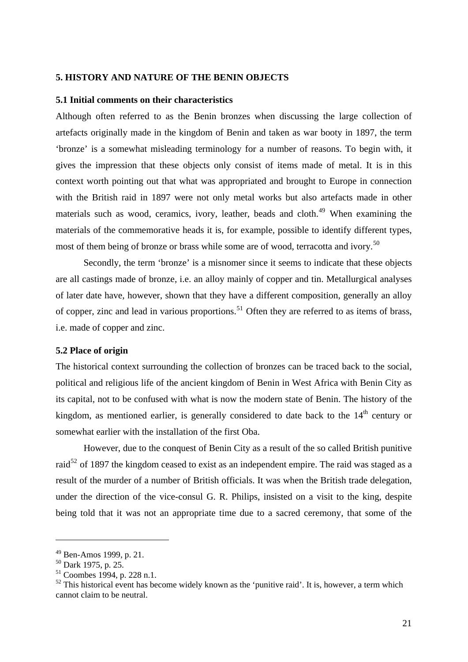#### <span id="page-20-0"></span>**5. HISTORY AND NATURE OF THE BENIN OBJECTS**

# **5.1 Initial comments on their characteristics**

Although often referred to as the Benin bronzes when discussing the large collection of artefacts originally made in the kingdom of Benin and taken as war booty in 1897, the term 'bronze' is a somewhat misleading terminology for a number of reasons. To begin with, it gives the impression that these objects only consist of items made of metal. It is in this context worth pointing out that what was appropriated and brought to Europe in connection with the British raid in 1897 were not only metal works but also artefacts made in other materials such as wood, ceramics, ivory, leather, beads and cloth.<sup>[49](#page-20-1)</sup> When examining the materials of the commemorative heads it is, for example, possible to identify different types, most of them being of bronze or brass while some are of wood, terracotta and ivory.<sup>[50](#page-20-2)</sup>

Secondly, the term 'bronze' is a misnomer since it seems to indicate that these objects are all castings made of bronze, i.e. an alloy mainly of copper and tin. Metallurgical analyses of later date have, however, shown that they have a different composition, generally an alloy of copper, zinc and lead in various proportions.<sup>[51](#page-20-3)</sup> Often they are referred to as items of brass, i.e. made of copper and zinc.

#### **5.2 Place of origin**

The historical context surrounding the collection of bronzes can be traced back to the social, political and religious life of the ancient kingdom of Benin in West Africa with Benin City as its capital, not to be confused with what is now the modern state of Benin. The history of the kingdom, as mentioned earlier, is generally considered to date back to the 14<sup>th</sup> century or somewhat earlier with the installation of the first Oba.

However, due to the conquest of Benin City as a result of the so called British punitive raid<sup>[52](#page-20-4)</sup> of 1897 the kingdom ceased to exist as an independent empire. The raid was staged as a result of the murder of a number of British officials. It was when the British trade delegation, under the direction of the vice-consul G. R. Philips, insisted on a visit to the king, despite being told that it was not an appropriate time due to a sacred ceremony, that some of the

<span id="page-20-1"></span> $49$  Ben-Amos 1999, p. 21.

 $50$  Dark 1975, p. 25.

<span id="page-20-3"></span><span id="page-20-2"></span><sup>51</sup> Coombes 1994, p. 228 n.1.

<span id="page-20-4"></span> $52$  This historical event has become widely known as the 'punitive raid'. It is, however, a term which cannot claim to be neutral.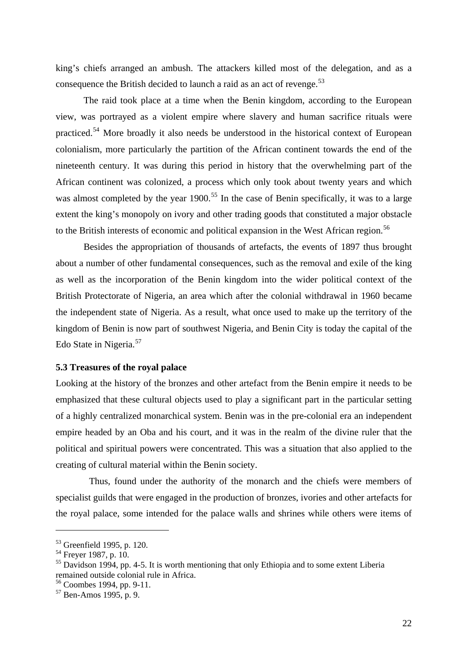<span id="page-21-0"></span>king's chiefs arranged an ambush. The attackers killed most of the delegation, and as a consequence the British decided to launch a raid as an act of revenge. $53$ 

The raid took place at a time when the Benin kingdom, according to the European view, was portrayed as a violent empire where slavery and human sacrifice rituals were practiced.[54](#page-21-2) More broadly it also needs be understood in the historical context of European colonialism, more particularly the partition of the African continent towards the end of the nineteenth century. It was during this period in history that the overwhelming part of the African continent was colonized, a process which only took about twenty years and which was almost completed by the year 1900.<sup>[55](#page-21-3)</sup> In the case of Benin specifically, it was to a large extent the king's monopoly on ivory and other trading goods that constituted a major obstacle to the British interests of economic and political expansion in the West African region.<sup>[56](#page-21-4)</sup>

Besides the appropriation of thousands of artefacts, the events of 1897 thus brought about a number of other fundamental consequences, such as the removal and exile of the king as well as the incorporation of the Benin kingdom into the wider political context of the British Protectorate of Nigeria, an area which after the colonial withdrawal in 1960 became the independent state of Nigeria. As a result, what once used to make up the territory of the kingdom of Benin is now part of southwest Nigeria, and Benin City is today the capital of the Edo State in Nigeria.<sup>[57](#page-21-5)</sup>

# **5.3 Treasures of the royal palace**

Looking at the history of the bronzes and other artefact from the Benin empire it needs to be emphasized that these cultural objects used to play a significant part in the particular setting of a highly centralized monarchical system. Benin was in the pre-colonial era an independent empire headed by an Oba and his court, and it was in the realm of the divine ruler that the political and spiritual powers were concentrated. This was a situation that also applied to the creating of cultural material within the Benin society.

Thus, found under the authority of the monarch and the chiefs were members of specialist guilds that were engaged in the production of bronzes, ivories and other artefacts for the royal palace, some intended for the palace walls and shrines while others were items of

<span id="page-21-1"></span><sup>53</sup> Greenfield 1995, p. 120.

<span id="page-21-2"></span><sup>&</sup>lt;sup>54</sup> Freyer 1987, p. 10.

<span id="page-21-3"></span> $55$  Davidson 1994, pp. 4-5. It is worth mentioning that only Ethiopia and to some extent Liberia remained outside colonial rule in Africa.

<span id="page-21-4"></span><sup>56</sup> Coombes 1994, pp. 9-11.

<span id="page-21-5"></span><sup>57</sup> Ben-Amos 1995, p. 9.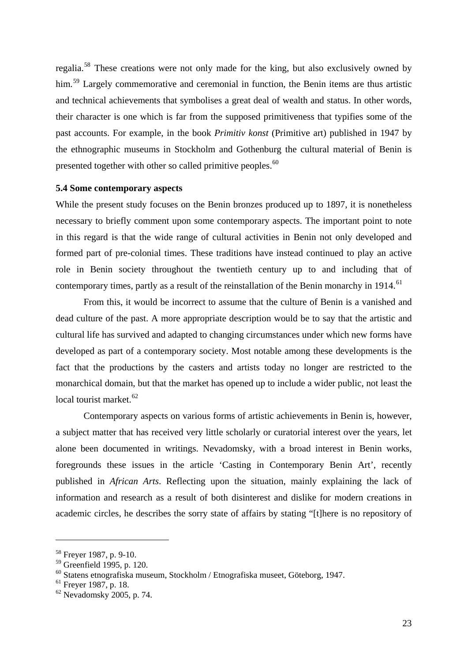<span id="page-22-0"></span>regalia.[58](#page-22-1) These creations were not only made for the king, but also exclusively owned by him.<sup>[59](#page-22-2)</sup> Largely commemorative and ceremonial in function, the Benin items are thus artistic and technical achievements that symbolises a great deal of wealth and status. In other words, their character is one which is far from the supposed primitiveness that typifies some of the past accounts. For example, in the book *Primitiv konst* (Primitive art) published in 1947 by the ethnographic museums in Stockholm and Gothenburg the cultural material of Benin is presented together with other so called primitive peoples.<sup>[60](#page-22-3)</sup>

# **5.4 Some contemporary aspects**

While the present study focuses on the Benin bronzes produced up to 1897, it is nonetheless necessary to briefly comment upon some contemporary aspects. The important point to note in this regard is that the wide range of cultural activities in Benin not only developed and formed part of pre-colonial times. These traditions have instead continued to play an active role in Benin society throughout the twentieth century up to and including that of contemporary times, partly as a result of the reinstallation of the Benin monarchy in 1914.<sup>[61](#page-22-4)</sup>

From this, it would be incorrect to assume that the culture of Benin is a vanished and dead culture of the past. A more appropriate description would be to say that the artistic and cultural life has survived and adapted to changing circumstances under which new forms have developed as part of a contemporary society. Most notable among these developments is the fact that the productions by the casters and artists today no longer are restricted to the monarchical domain, but that the market has opened up to include a wider public, not least the local tourist market.<sup>[62](#page-22-5)</sup>

Contemporary aspects on various forms of artistic achievements in Benin is, however, a subject matter that has received very little scholarly or curatorial interest over the years, let alone been documented in writings. Nevadomsky, with a broad interest in Benin works, foregrounds these issues in the article 'Casting in Contemporary Benin Art', recently published in *African Arts*. Reflecting upon the situation, mainly explaining the lack of information and research as a result of both disinterest and dislike for modern creations in academic circles, he describes the sorry state of affairs by stating "[t]here is no repository of

<span id="page-22-1"></span><sup>58</sup> Freyer 1987, p. 9-10.

<span id="page-22-2"></span><sup>59</sup> Greenfield 1995, p. 120.

<span id="page-22-3"></span><sup>60</sup> Statens etnografiska museum, Stockholm / Etnografiska museet, Göteborg, 1947.

<span id="page-22-4"></span> $61$  Frever 1987, p. 18.

<span id="page-22-5"></span> $62$  Nevadomsky 2005, p. 74.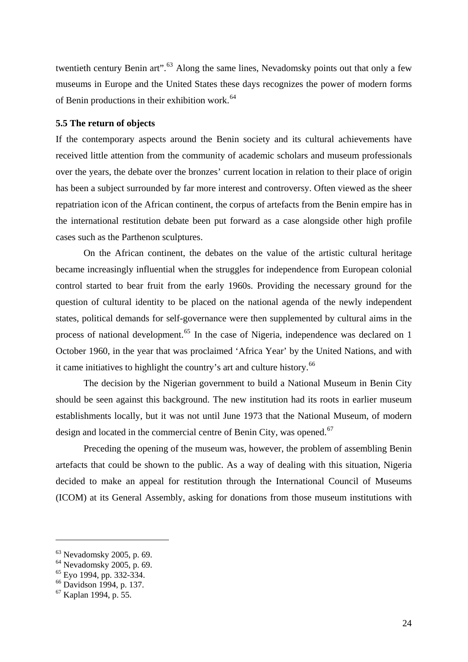<span id="page-23-0"></span>twentieth century Benin art".<sup>[63](#page-23-1)</sup> Along the same lines, Nevadomsky points out that only a few museums in Europe and the United States these days recognizes the power of modern forms of Benin productions in their exhibition work.<sup>[64](#page-23-2)</sup>

# **5.5 The return of objects**

If the contemporary aspects around the Benin society and its cultural achievements have received little attention from the community of academic scholars and museum professionals over the years, the debate over the bronzes' current location in relation to their place of origin has been a subject surrounded by far more interest and controversy. Often viewed as the sheer repatriation icon of the African continent, the corpus of artefacts from the Benin empire has in the international restitution debate been put forward as a case alongside other high profile cases such as the Parthenon sculptures.

On the African continent, the debates on the value of the artistic cultural heritage became increasingly influential when the struggles for independence from European colonial control started to bear fruit from the early 1960s. Providing the necessary ground for the question of cultural identity to be placed on the national agenda of the newly independent states, political demands for self-governance were then supplemented by cultural aims in the process of national development.<sup>[65](#page-23-3)</sup> In the case of Nigeria, independence was declared on 1 October 1960, in the year that was proclaimed 'Africa Year' by the United Nations, and with it came initiatives to highlight the country's art and culture history.<sup>[66](#page-23-4)</sup>

The decision by the Nigerian government to build a National Museum in Benin City should be seen against this background. The new institution had its roots in earlier museum establishments locally, but it was not until June 1973 that the National Museum, of modern design and located in the commercial centre of Benin City, was opened.<sup>[67](#page-23-5)</sup>

Preceding the opening of the museum was, however, the problem of assembling Benin artefacts that could be shown to the public. As a way of dealing with this situation, Nigeria decided to make an appeal for restitution through the International Council of Museums (ICOM) at its General Assembly, asking for donations from those museum institutions with

<span id="page-23-1"></span><sup>63</sup> Nevadomsky 2005, p. 69.

<span id="page-23-2"></span><sup>64</sup> Nevadomsky 2005, p. 69.

<span id="page-23-3"></span> $65$  Eyo 1994, pp. 332-334.

<span id="page-23-4"></span><sup>66</sup> Davidson 1994, p. 137.

<span id="page-23-5"></span><sup>67</sup> Kaplan 1994, p. 55.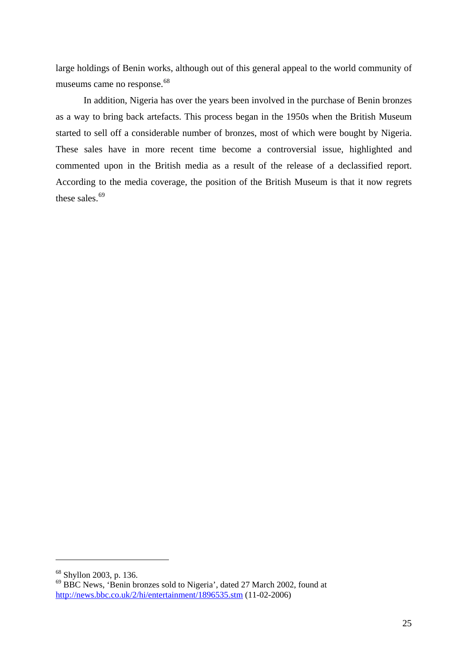large holdings of Benin works, although out of this general appeal to the world community of museums came no response.<sup>[68](#page-24-0)</sup>

In addition, Nigeria has over the years been involved in the purchase of Benin bronzes as a way to bring back artefacts. This process began in the 1950s when the British Museum started to sell off a considerable number of bronzes, most of which were bought by Nigeria. These sales have in more recent time become a controversial issue, highlighted and commented upon in the British media as a result of the release of a declassified report. According to the media coverage, the position of the British Museum is that it now regrets these sales.<sup>[69](#page-24-1)</sup>

<span id="page-24-0"></span><sup>68</sup> Shyllon 2003, p. 136.

<span id="page-24-1"></span><sup>69</sup> BBC News, 'Benin bronzes sold to Nigeria', dated 27 March 2002, found at <http://news.bbc.co.uk/2/hi/entertainment/1896535.stm> (11-02-2006)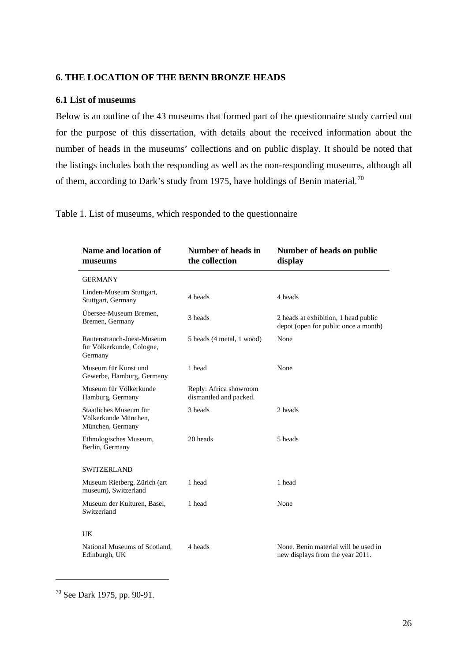# <span id="page-25-0"></span>**6. THE LOCATION OF THE BENIN BRONZE HEADS**

# **6.1 List of museums**

Below is an outline of the 43 museums that formed part of the questionnaire study carried out for the purpose of this dissertation, with details about the received information about the number of heads in the museums' collections and on public display. It should be noted that the listings includes both the responding as well as the non-responding museums, although all of them, according to Dark's study from 1975, have holdings of Benin material.<sup>[70](#page-25-1)</sup>

Table 1. List of museums, which responded to the questionnaire

| Name and location of<br>museums                                    | <b>Number of heads in</b><br>the collection      | Number of heads on public<br>display                                         |
|--------------------------------------------------------------------|--------------------------------------------------|------------------------------------------------------------------------------|
| <b>GERMANY</b>                                                     |                                                  |                                                                              |
| Linden-Museum Stuttgart,<br>Stuttgart, Germany                     | 4 heads                                          | 4 heads                                                                      |
| Übersee-Museum Bremen,<br>Bremen, Germany                          | 3 heads                                          | 2 heads at exhibition, 1 head public<br>depot (open for public once a month) |
| Rautenstrauch-Joest-Museum<br>für Völkerkunde, Cologne,<br>Germany | 5 heads (4 metal, 1 wood)                        | None                                                                         |
| Museum für Kunst und<br>Gewerbe, Hamburg, Germany                  | 1 head                                           | None                                                                         |
| Museum für Völkerkunde<br>Hamburg, Germany                         | Reply: Africa showroom<br>dismantled and packed. |                                                                              |
| Staatliches Museum für<br>Völkerkunde München,<br>München, Germany | 3 heads                                          | 2 heads                                                                      |
| Ethnologisches Museum,<br>Berlin, Germany                          | 20 heads                                         | 5 heads                                                                      |
| <b>SWITZERLAND</b>                                                 |                                                  |                                                                              |
| Museum Rietberg, Zürich (art<br>museum), Switzerland               | 1 head                                           | 1 head                                                                       |
| Museum der Kulturen, Basel,<br>Switzerland                         | 1 head                                           | None                                                                         |
| UK                                                                 |                                                  |                                                                              |
| National Museums of Scotland,<br>Edinburgh, UK                     | 4 heads                                          | None. Benin material will be used in<br>new displays from the year 2011.     |

<span id="page-25-1"></span>70 See Dark 1975, pp. 90-91.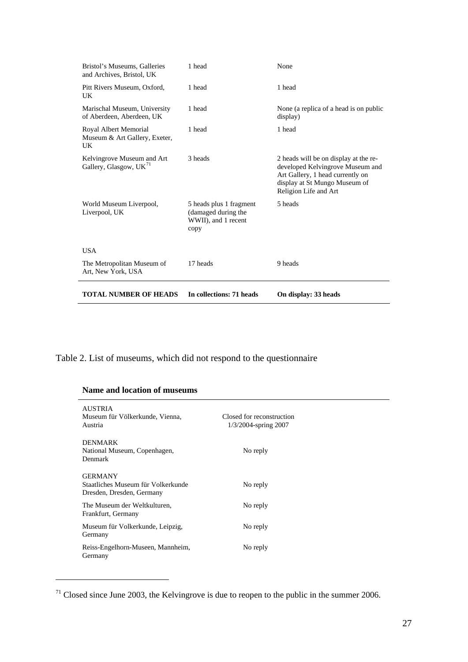| <b>TOTAL NUMBER OF HEADS</b>                                     | In collections: 71 heads                                                      | On display: 33 heads                                                                                                                                                    |
|------------------------------------------------------------------|-------------------------------------------------------------------------------|-------------------------------------------------------------------------------------------------------------------------------------------------------------------------|
| The Metropolitan Museum of<br>Art, New York, USA                 | 17 heads                                                                      | 9 heads                                                                                                                                                                 |
| <b>USA</b>                                                       |                                                                               |                                                                                                                                                                         |
| World Museum Liverpool,<br>Liverpool, UK                         | 5 heads plus 1 fragment<br>(damaged during the<br>WWII), and 1 recent<br>copy | 5 heads                                                                                                                                                                 |
| Kelvingrove Museum and Art<br>Gallery, Glasgow, UK <sup>71</sup> | 3 heads                                                                       | 2 heads will be on display at the re-<br>developed Kelvingrove Museum and<br>Art Gallery, 1 head currently on<br>display at St Mungo Museum of<br>Religion Life and Art |
| Royal Albert Memorial<br>Museum & Art Gallery, Exeter,<br>UK     | 1 head                                                                        | 1 head                                                                                                                                                                  |
| Marischal Museum, University<br>of Aberdeen, Aberdeen, UK        | 1 head                                                                        | None (a replica of a head is on public<br>display)                                                                                                                      |
| Pitt Rivers Museum, Oxford,<br>UK                                | 1 head                                                                        | 1 head                                                                                                                                                                  |
| Bristol's Museums, Galleries<br>and Archives, Bristol, UK        | 1 head                                                                        | None                                                                                                                                                                    |

Table 2. List of museums, which did not respond to the questionnaire

|  |  | Name and location of museums |
|--|--|------------------------------|
|--|--|------------------------------|

| <b>AUSTRIA</b><br>Museum für Völkerkunde, Vienna,<br>Austria                      | Closed for reconstruction<br>1/3/2004-spring 2007 |
|-----------------------------------------------------------------------------------|---------------------------------------------------|
| <b>DENMARK</b><br>National Museum, Copenhagen,<br>Denmark                         | No reply                                          |
| <b>GERMANY</b><br>Staatliches Museum für Volkerkunde<br>Dresden, Dresden, Germany | No reply                                          |
| The Museum der Weltkulturen,<br>Frankfurt, Germany                                | No reply                                          |
| Museum für Volkerkunde, Leipzig,<br>Germany                                       | No reply                                          |
| Reiss-Engelhorn-Museen, Mannheim,<br>Germany                                      | No reply                                          |

<span id="page-26-0"></span> $71$  Closed since June 2003, the Kelvingrove is due to reopen to the public in the summer 2006.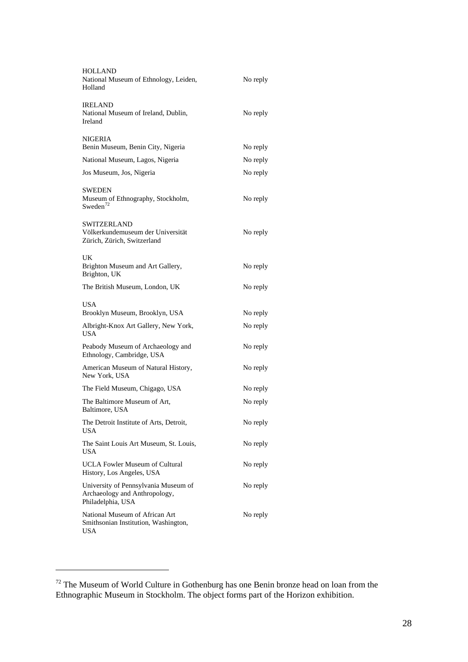| <b>HOLLAND</b><br>National Museum of Ethnology, Leiden,<br>Holland                         | No reply |
|--------------------------------------------------------------------------------------------|----------|
| <b>IRELAND</b><br>National Museum of Ireland, Dublin,<br>Ireland                           | No reply |
| NIGERIA<br>Benin Museum, Benin City, Nigeria                                               | No reply |
| National Museum, Lagos, Nigeria                                                            | No reply |
| Jos Museum, Jos, Nigeria                                                                   | No reply |
| <b>SWEDEN</b><br>Museum of Ethnography, Stockholm,<br>Sweden $72$                          | No reply |
| <b>SWITZERLAND</b><br>Völkerkundemuseum der Universität<br>Zürich, Zürich, Switzerland     | No reply |
| UK<br>Brighton Museum and Art Gallery,<br>Brighton, UK                                     | No reply |
| The British Museum, London, UK                                                             | No reply |
| <b>USA</b><br>Brooklyn Museum, Brooklyn, USA                                               | No reply |
| Albright-Knox Art Gallery, New York,<br><b>USA</b>                                         | No reply |
| Peabody Museum of Archaeology and<br>Ethnology, Cambridge, USA                             | No reply |
| American Museum of Natural History,<br>New York, USA                                       | No reply |
| The Field Museum, Chigago, USA                                                             | No reply |
| The Baltimore Museum of Art,<br>Baltimore, USA                                             | No reply |
| The Detroit Institute of Arts, Detroit,<br><b>USA</b>                                      | No reply |
| The Saint Louis Art Museum, St. Louis,<br><b>USA</b>                                       | No reply |
| <b>UCLA Fowler Museum of Cultural</b><br>History, Los Angeles, USA                         | No reply |
| University of Pennsylvania Museum of<br>Archaeology and Anthropology,<br>Philadelphia, USA | No reply |
| National Museum of African Art<br>Smithsonian Institution, Washington,<br><b>USA</b>       | No reply |

<span id="page-27-0"></span> $72$  The Museum of World Culture in Gothenburg has one Benin bronze head on loan from the Ethnographic Museum in Stockholm. The object forms part of the Horizon exhibition.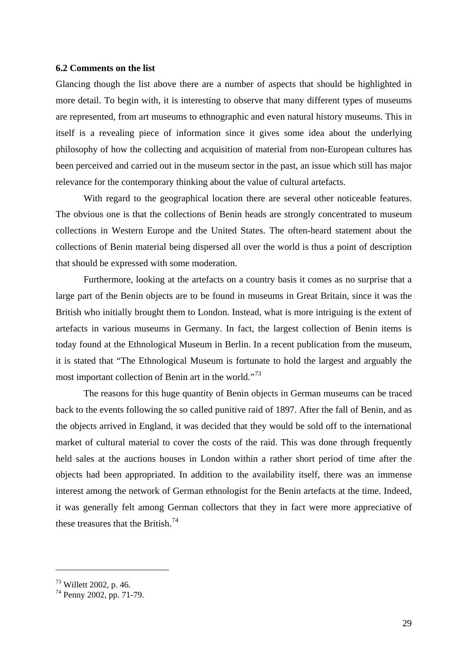#### <span id="page-28-0"></span>**6.2 Comments on the list**

Glancing though the list above there are a number of aspects that should be highlighted in more detail. To begin with, it is interesting to observe that many different types of museums are represented, from art museums to ethnographic and even natural history museums. This in itself is a revealing piece of information since it gives some idea about the underlying philosophy of how the collecting and acquisition of material from non-European cultures has been perceived and carried out in the museum sector in the past, an issue which still has major relevance for the contemporary thinking about the value of cultural artefacts.

With regard to the geographical location there are several other noticeable features. The obvious one is that the collections of Benin heads are strongly concentrated to museum collections in Western Europe and the United States. The often-heard statement about the collections of Benin material being dispersed all over the world is thus a point of description that should be expressed with some moderation.

Furthermore, looking at the artefacts on a country basis it comes as no surprise that a large part of the Benin objects are to be found in museums in Great Britain, since it was the British who initially brought them to London. Instead, what is more intriguing is the extent of artefacts in various museums in Germany. In fact, the largest collection of Benin items is today found at the Ethnological Museum in Berlin. In a recent publication from the museum, it is stated that "The Ethnological Museum is fortunate to hold the largest and arguably the most important collection of Benin art in the world."[73](#page-28-1)

The reasons for this huge quantity of Benin objects in German museums can be traced back to the events following the so called punitive raid of 1897. After the fall of Benin, and as the objects arrived in England, it was decided that they would be sold off to the international market of cultural material to cover the costs of the raid. This was done through frequently held sales at the auctions houses in London within a rather short period of time after the objects had been appropriated. In addition to the availability itself, there was an immense interest among the network of German ethnologist for the Benin artefacts at the time. Indeed, it was generally felt among German collectors that they in fact were more appreciative of these treasures that the British.<sup>[74](#page-28-2)</sup>

<span id="page-28-1"></span><sup>73</sup> Willett 2002, p. 46.

<span id="page-28-2"></span><sup>74</sup> Penny 2002, pp. 71-79.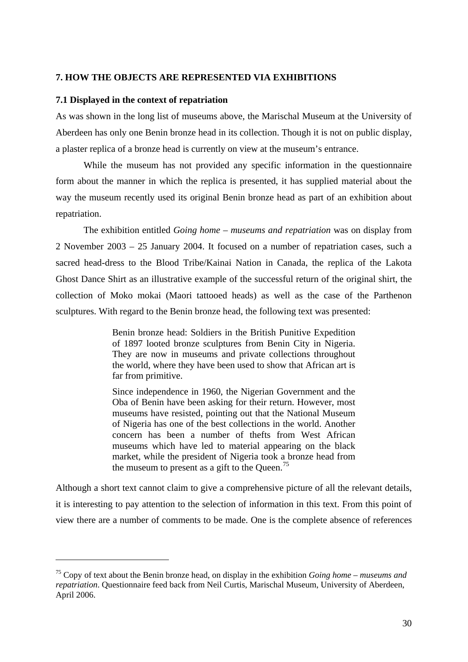# <span id="page-29-0"></span>**7. HOW THE OBJECTS ARE REPRESENTED VIA EXHIBITIONS**

# **7.1 Displayed in the context of repatriation**

1

As was shown in the long list of museums above, the Marischal Museum at the University of Aberdeen has only one Benin bronze head in its collection. Though it is not on public display, a plaster replica of a bronze head is currently on view at the museum's entrance.

While the museum has not provided any specific information in the questionnaire form about the manner in which the replica is presented, it has supplied material about the way the museum recently used its original Benin bronze head as part of an exhibition about repatriation.

The exhibition entitled *Going home – museums and repatriation* was on display from 2 November 2003 – 25 January 2004. It focused on a number of repatriation cases, such a sacred head-dress to the Blood Tribe/Kainai Nation in Canada, the replica of the Lakota Ghost Dance Shirt as an illustrative example of the successful return of the original shirt, the collection of Moko mokai (Maori tattooed heads) as well as the case of the Parthenon sculptures. With regard to the Benin bronze head, the following text was presented:

> Benin bronze head: Soldiers in the British Punitive Expedition of 1897 looted bronze sculptures from Benin City in Nigeria. They are now in museums and private collections throughout the world, where they have been used to show that African art is far from primitive.

> Since independence in 1960, the Nigerian Government and the Oba of Benin have been asking for their return. However, most museums have resisted, pointing out that the National Museum of Nigeria has one of the best collections in the world. Another concern has been a number of thefts from West African museums which have led to material appearing on the black market, while the president of Nigeria took a bronze head from the museum to present as a gift to the Queen.<sup>[75](#page-29-1)</sup>

Although a short text cannot claim to give a comprehensive picture of all the relevant details, it is interesting to pay attention to the selection of information in this text. From this point of view there are a number of comments to be made. One is the complete absence of references

<span id="page-29-1"></span><sup>75</sup> Copy of text about the Benin bronze head, on display in the exhibition *Going home – museums and repatriation*. Questionnaire feed back from Neil Curtis, Marischal Museum, University of Aberdeen, April 2006.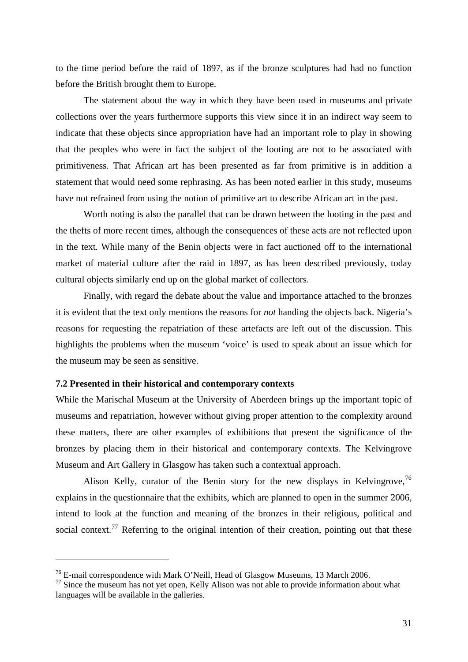<span id="page-30-0"></span>to the time period before the raid of 1897, as if the bronze sculptures had had no function before the British brought them to Europe.

The statement about the way in which they have been used in museums and private collections over the years furthermore supports this view since it in an indirect way seem to indicate that these objects since appropriation have had an important role to play in showing that the peoples who were in fact the subject of the looting are not to be associated with primitiveness. That African art has been presented as far from primitive is in addition a statement that would need some rephrasing. As has been noted earlier in this study, museums have not refrained from using the notion of primitive art to describe African art in the past.

Worth noting is also the parallel that can be drawn between the looting in the past and the thefts of more recent times, although the consequences of these acts are not reflected upon in the text. While many of the Benin objects were in fact auctioned off to the international market of material culture after the raid in 1897, as has been described previously, today cultural objects similarly end up on the global market of collectors.

Finally, with regard the debate about the value and importance attached to the bronzes it is evident that the text only mentions the reasons for *not* handing the objects back. Nigeria's reasons for requesting the repatriation of these artefacts are left out of the discussion. This highlights the problems when the museum 'voice' is used to speak about an issue which for the museum may be seen as sensitive.

# **7.2 Presented in their historical and contemporary contexts**

1

While the Marischal Museum at the University of Aberdeen brings up the important topic of museums and repatriation, however without giving proper attention to the complexity around these matters, there are other examples of exhibitions that present the significance of the bronzes by placing them in their historical and contemporary contexts. The Kelvingrove Museum and Art Gallery in Glasgow has taken such a contextual approach.

Alison Kelly, curator of the Benin story for the new displays in Kelvingrove,  $76$ explains in the questionnaire that the exhibits, which are planned to open in the summer 2006, intend to look at the function and meaning of the bronzes in their religious, political and social context.<sup>[77](#page-30-2)</sup> Referring to the original intention of their creation, pointing out that these

<span id="page-30-1"></span><sup>76</sup> E-mail correspondence with Mark O'Neill, Head of Glasgow Museums, 13 March 2006.

<span id="page-30-2"></span> $77$  Since the museum has not yet open, Kelly Alison was not able to provide information about what languages will be available in the galleries.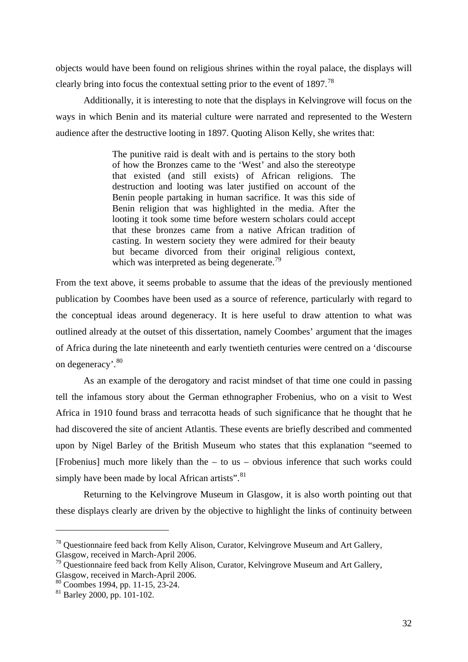objects would have been found on religious shrines within the royal palace, the displays will clearly bring into focus the contextual setting prior to the event of 1897.<sup>[78](#page-31-0)</sup>

Additionally, it is interesting to note that the displays in Kelvingrove will focus on the ways in which Benin and its material culture were narrated and represented to the Western audience after the destructive looting in 1897. Quoting Alison Kelly, she writes that:

> The punitive raid is dealt with and is pertains to the story both of how the Bronzes came to the 'West' and also the stereotype that existed (and still exists) of African religions. The destruction and looting was later justified on account of the Benin people partaking in human sacrifice. It was this side of Benin religion that was highlighted in the media. After the looting it took some time before western scholars could accept that these bronzes came from a native African tradition of casting. In western society they were admired for their beauty but became divorced from their original religious context, which was interpreted as being degenerate.<sup>[79](#page-31-1)</sup>

From the text above, it seems probable to assume that the ideas of the previously mentioned publication by Coombes have been used as a source of reference, particularly with regard to the conceptual ideas around degeneracy. It is here useful to draw attention to what was outlined already at the outset of this dissertation, namely Coombes' argument that the images of Africa during the late nineteenth and early twentieth centuries were centred on a 'discourse on degeneracy'.[80](#page-31-2)

As an example of the derogatory and racist mindset of that time one could in passing tell the infamous story about the German ethnographer Frobenius, who on a visit to West Africa in 1910 found brass and terracotta heads of such significance that he thought that he had discovered the site of ancient Atlantis. These events are briefly described and commented upon by Nigel Barley of the British Museum who states that this explanation "seemed to [Frobenius] much more likely than the – to us – obvious inference that such works could simply have been made by local African artists".  $81$ 

Returning to the Kelvingrove Museum in Glasgow, it is also worth pointing out that these displays clearly are driven by the objective to highlight the links of continuity between

<span id="page-31-0"></span><sup>&</sup>lt;sup>78</sup> Ouestionnaire feed back from Kelly Alison, Curator, Kelvingrove Museum and Art Gallery, Glasgow, received in March-April 2006.

<span id="page-31-1"></span> $79$  Questionnaire feed back from Kelly Alison, Curator, Kelvingrove Museum and Art Gallery, Glasgow, received in March-April 2006.

<span id="page-31-2"></span><sup>80</sup> Coombes 1994, pp. 11-15, 23-24.

<span id="page-31-3"></span><sup>81</sup> Barley 2000, pp. 101-102.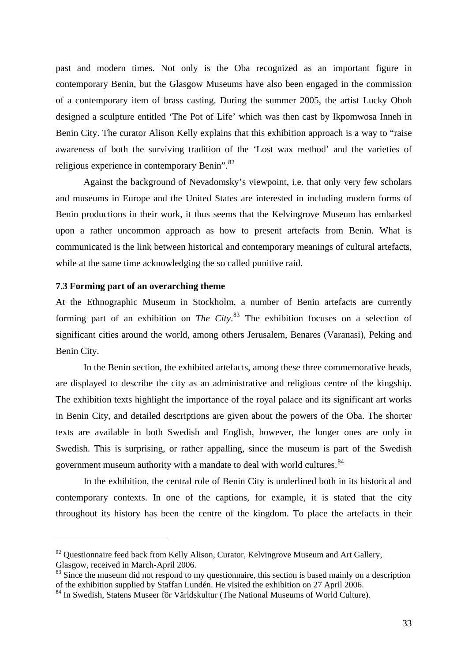<span id="page-32-0"></span>past and modern times. Not only is the Oba recognized as an important figure in contemporary Benin, but the Glasgow Museums have also been engaged in the commission of a contemporary item of brass casting. During the summer 2005, the artist Lucky Oboh designed a sculpture entitled 'The Pot of Life' which was then cast by Ikpomwosa Inneh in Benin City. The curator Alison Kelly explains that this exhibition approach is a way to "raise awareness of both the surviving tradition of the 'Lost wax method' and the varieties of religious experience in contemporary Benin".<sup>[82](#page-32-1)</sup>

Against the background of Nevadomsky's viewpoint, i.e. that only very few scholars and museums in Europe and the United States are interested in including modern forms of Benin productions in their work, it thus seems that the Kelvingrove Museum has embarked upon a rather uncommon approach as how to present artefacts from Benin. What is communicated is the link between historical and contemporary meanings of cultural artefacts, while at the same time acknowledging the so called punitive raid.

## **7.3 Forming part of an overarching theme**

1

At the Ethnographic Museum in Stockholm, a number of Benin artefacts are currently forming part of an exhibition on *The City*. [83](#page-32-2) The exhibition focuses on a selection of significant cities around the world, among others Jerusalem, Benares (Varanasi), Peking and Benin City.

In the Benin section, the exhibited artefacts, among these three commemorative heads, are displayed to describe the city as an administrative and religious centre of the kingship. The exhibition texts highlight the importance of the royal palace and its significant art works in Benin City, and detailed descriptions are given about the powers of the Oba. The shorter texts are available in both Swedish and English, however, the longer ones are only in Swedish. This is surprising, or rather appalling, since the museum is part of the Swedish government museum authority with a mandate to deal with world cultures.<sup>[84](#page-32-3)</sup>

In the exhibition, the central role of Benin City is underlined both in its historical and contemporary contexts. In one of the captions, for example, it is stated that the city throughout its history has been the centre of the kingdom. To place the artefacts in their

<span id="page-32-1"></span> $82$  Questionnaire feed back from Kelly Alison, Curator, Kelvingrove Museum and Art Gallery, Glasgow, received in March-April 2006.

<span id="page-32-2"></span> $83$  Since the museum did not respond to my questionnaire, this section is based mainly on a description of the exhibition supplied by Staffan Lundén. He visited the exhibition on 27 April 2006.

<span id="page-32-3"></span><sup>&</sup>lt;sup>84</sup> In Swedish, Statens Museer för Världskultur (The National Museums of World Culture).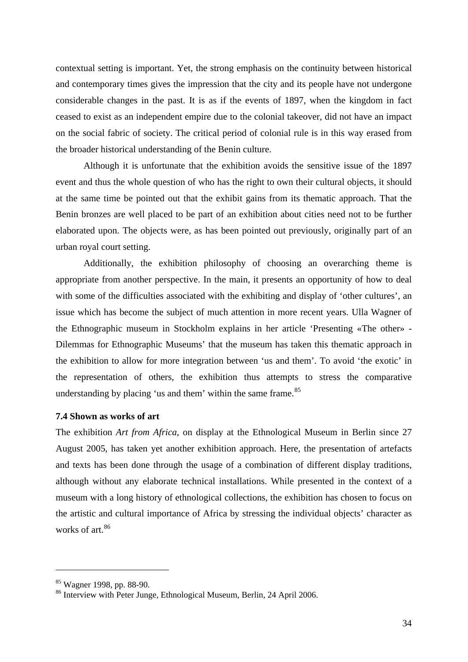<span id="page-33-0"></span>contextual setting is important. Yet, the strong emphasis on the continuity between historical and contemporary times gives the impression that the city and its people have not undergone considerable changes in the past. It is as if the events of 1897, when the kingdom in fact ceased to exist as an independent empire due to the colonial takeover, did not have an impact on the social fabric of society. The critical period of colonial rule is in this way erased from the broader historical understanding of the Benin culture.

Although it is unfortunate that the exhibition avoids the sensitive issue of the 1897 event and thus the whole question of who has the right to own their cultural objects, it should at the same time be pointed out that the exhibit gains from its thematic approach. That the Benin bronzes are well placed to be part of an exhibition about cities need not to be further elaborated upon. The objects were, as has been pointed out previously, originally part of an urban royal court setting.

Additionally, the exhibition philosophy of choosing an overarching theme is appropriate from another perspective. In the main, it presents an opportunity of how to deal with some of the difficulties associated with the exhibiting and display of 'other cultures', an issue which has become the subject of much attention in more recent years. Ulla Wagner of the Ethnographic museum in Stockholm explains in her article 'Presenting «The other» - Dilemmas for Ethnographic Museums' that the museum has taken this thematic approach in the exhibition to allow for more integration between 'us and them'. To avoid 'the exotic' in the representation of others, the exhibition thus attempts to stress the comparative understanding by placing 'us and them' within the same frame. $85$ 

## **7.4 Shown as works of art**

The exhibition *Art from Africa*, on display at the Ethnological Museum in Berlin since 27 August 2005, has taken yet another exhibition approach. Here, the presentation of artefacts and texts has been done through the usage of a combination of different display traditions, although without any elaborate technical installations. While presented in the context of a museum with a long history of ethnological collections, the exhibition has chosen to focus on the artistic and cultural importance of Africa by stressing the individual objects' character as works of art.<sup>[86](#page-33-2)</sup>

<span id="page-33-1"></span><sup>85</sup> Wagner 1998, pp. 88-90.

<span id="page-33-2"></span><sup>&</sup>lt;sup>86</sup> Interview with Peter Junge, Ethnological Museum, Berlin, 24 April 2006.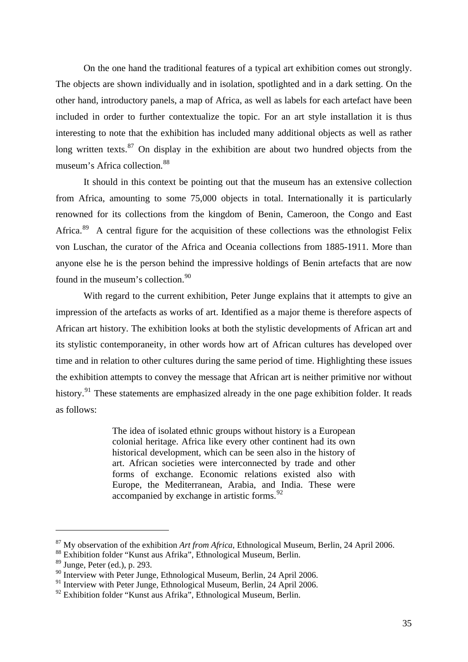On the one hand the traditional features of a typical art exhibition comes out strongly. The objects are shown individually and in isolation, spotlighted and in a dark setting. On the other hand, introductory panels, a map of Africa, as well as labels for each artefact have been included in order to further contextualize the topic. For an art style installation it is thus interesting to note that the exhibition has included many additional objects as well as rather long written texts. $87$  On display in the exhibition are about two hundred objects from the museum's Africa collection.[88](#page-34-1)

It should in this context be pointing out that the museum has an extensive collection from Africa, amounting to some 75,000 objects in total. Internationally it is particularly renowned for its collections from the kingdom of Benin, Cameroon, the Congo and East Africa.<sup>[89](#page-34-2)</sup> A central figure for the acquisition of these collections was the ethnologist Felix von Luschan, the curator of the Africa and Oceania collections from 1885-1911. More than anyone else he is the person behind the impressive holdings of Benin artefacts that are now found in the museum's collection.<sup>[90](#page-34-3)</sup>

With regard to the current exhibition, Peter Junge explains that it attempts to give an impression of the artefacts as works of art. Identified as a major theme is therefore aspects of African art history. The exhibition looks at both the stylistic developments of African art and its stylistic contemporaneity, in other words how art of African cultures has developed over time and in relation to other cultures during the same period of time. Highlighting these issues the exhibition attempts to convey the message that African art is neither primitive nor without history.<sup>[91](#page-34-4)</sup> These statements are emphasized already in the one page exhibition folder. It reads as follows:

> The idea of isolated ethnic groups without history is a European colonial heritage. Africa like every other continent had its own historical development, which can be seen also in the history of art. African societies were interconnected by trade and other forms of exchange. Economic relations existed also with Europe, the Mediterranean, Arabia, and India. These were accompanied by exchange in artistic forms.<sup>[92](#page-34-5)</sup>

<span id="page-34-0"></span><sup>87</sup> My observation of the exhibition *Art from Africa*, Ethnological Museum, Berlin, 24 April 2006.

<span id="page-34-1"></span><sup>88</sup> Exhibition folder "Kunst aus Afrika", Ethnological Museum, Berlin.

<span id="page-34-2"></span> $89$  Junge, Peter (ed.), p. 293.

<span id="page-34-3"></span><sup>&</sup>lt;sup>90</sup> Interview with Peter Junge, Ethnological Museum, Berlin, 24 April 2006.

<span id="page-34-4"></span><sup>&</sup>lt;sup>91</sup> Interview with Peter Junge, Ethnological Museum, Berlin, 24 April 2006.

<span id="page-34-5"></span><sup>&</sup>lt;sup>92</sup> Exhibition folder "Kunst aus Afrika", Ethnological Museum, Berlin.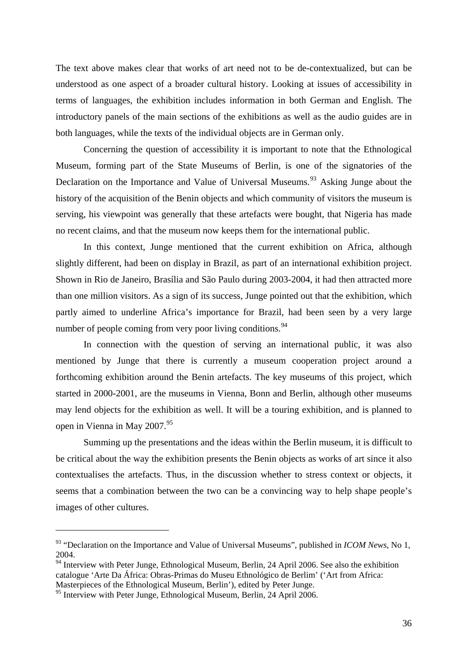The text above makes clear that works of art need not to be de-contextualized, but can be understood as one aspect of a broader cultural history. Looking at issues of accessibility in terms of languages, the exhibition includes information in both German and English. The introductory panels of the main sections of the exhibitions as well as the audio guides are in both languages, while the texts of the individual objects are in German only.

Concerning the question of accessibility it is important to note that the Ethnological Museum, forming part of the State Museums of Berlin, is one of the signatories of the Declaration on the Importance and Value of Universal Museums.<sup>[93](#page-35-0)</sup> Asking Junge about the history of the acquisition of the Benin objects and which community of visitors the museum is serving, his viewpoint was generally that these artefacts were bought, that Nigeria has made no recent claims, and that the museum now keeps them for the international public.

In this context, Junge mentioned that the current exhibition on Africa, although slightly different, had been on display in Brazil, as part of an international exhibition project. Shown in Rio de Janeiro, Brasília and São Paulo during 2003-2004, it had then attracted more than one million visitors. As a sign of its success, Junge pointed out that the exhibition, which partly aimed to underline Africa's importance for Brazil, had been seen by a very large number of people coming from very poor living conditions.<sup>[94](#page-35-1)</sup>

In connection with the question of serving an international public, it was also mentioned by Junge that there is currently a museum cooperation project around a forthcoming exhibition around the Benin artefacts. The key museums of this project, which started in 2000-2001, are the museums in Vienna, Bonn and Berlin, although other museums may lend objects for the exhibition as well. It will be a touring exhibition, and is planned to open in Vienna in May  $2007.<sup>95</sup>$  $2007.<sup>95</sup>$  $2007.<sup>95</sup>$ 

Summing up the presentations and the ideas within the Berlin museum, it is difficult to be critical about the way the exhibition presents the Benin objects as works of art since it also contextualises the artefacts. Thus, in the discussion whether to stress context or objects, it seems that a combination between the two can be a convincing way to help shape people's images of other cultures.

<span id="page-35-0"></span><sup>93 &</sup>quot;Declaration on the Importance and Value of Universal Museums", published in *ICOM News*, No 1, 2004.

<span id="page-35-1"></span><sup>&</sup>lt;sup>94</sup> Interview with Peter Junge, Ethnological Museum, Berlin, 24 April 2006. See also the exhibition catalogue 'Arte Da África: Obras-Primas do Museu Ethnológico de Berlim' ('Art from Africa: Masterpieces of the Ethnological Museum, Berlin'), edited by Peter Junge.

<span id="page-35-2"></span><sup>&</sup>lt;sup>95</sup> Interview with Peter Junge, Ethnological Museum, Berlin, 24 April 2006.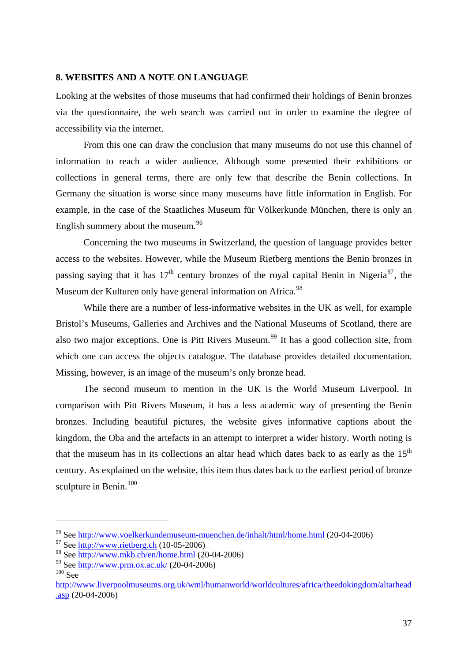## <span id="page-36-0"></span>**8. WEBSITES AND A NOTE ON LANGUAGE**

Looking at the websites of those museums that had confirmed their holdings of Benin bronzes via the questionnaire, the web search was carried out in order to examine the degree of accessibility via the internet.

From this one can draw the conclusion that many museums do not use this channel of information to reach a wider audience. Although some presented their exhibitions or collections in general terms, there are only few that describe the Benin collections. In Germany the situation is worse since many museums have little information in English. For example, in the case of the Staatliches Museum für Völkerkunde München, there is only an English summery about the museum.<sup>[96](#page-36-1)</sup>

Concerning the two museums in Switzerland, the question of language provides better access to the websites. However, while the Museum Rietberg mentions the Benin bronzes in passing saying that it has  $17<sup>th</sup>$  century bronzes of the royal capital Benin in Nigeria<sup>[97](#page-36-2)</sup>, the Museum der Kulturen only have general information on Africa.<sup>[98](#page-36-3)</sup>

While there are a number of less-informative websites in the UK as well, for example Bristol's Museums, Galleries and Archives and the National Museums of Scotland, there are also two major exceptions. One is Pitt Rivers Museum.<sup>[99](#page-36-4)</sup> It has a good collection site, from which one can access the objects catalogue. The database provides detailed documentation. Missing, however, is an image of the museum's only bronze head.

The second museum to mention in the UK is the World Museum Liverpool. In comparison with Pitt Rivers Museum, it has a less academic way of presenting the Benin bronzes. Including beautiful pictures, the website gives informative captions about the kingdom, the Oba and the artefacts in an attempt to interpret a wider history. Worth noting is that the museum has in its collections an altar head which dates back to as early as the  $15<sup>th</sup>$ century. As explained on the website, this item thus dates back to the earliest period of bronze sculpture in Benin.<sup>[100](#page-36-5)</sup>

<span id="page-36-1"></span><sup>96</sup> See<http://www.voelkerkundemuseum-muenchen.de/inhalt/html/home.html> (20-04-2006)

<span id="page-36-2"></span> $97$  See [http://www.rietberg.ch](http://www.rietberg.ch/) (10-05-2006)

<span id="page-36-3"></span><sup>98</sup> See<http://www.mkb.ch/en/home.html>(20-04-2006)

<span id="page-36-4"></span><sup>99</sup> See<http://www.prm.ox.ac.uk/> (20-04-2006)

<span id="page-36-5"></span> $100$  See

[http://www.liverpoolmuseums.org.uk/wml/humanworld/worldcultures/africa/theedokingdom/altarhead](http://www.liverpoolmuseums.org.uk/wml/humanworld/worldcultures/africa/theedokingdom/altarhead.asp)  $\frac{0.085}{0.042006}$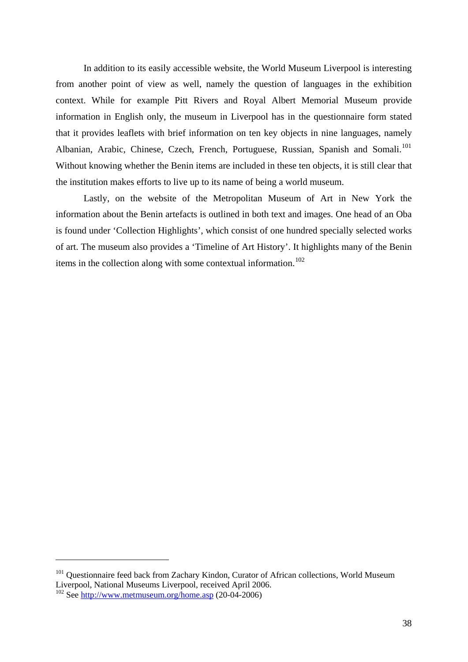In addition to its easily accessible website, the World Museum Liverpool is interesting from another point of view as well, namely the question of languages in the exhibition context. While for example Pitt Rivers and Royal Albert Memorial Museum provide information in English only, the museum in Liverpool has in the questionnaire form stated that it provides leaflets with brief information on ten key objects in nine languages, namely Albanian, Arabic, Chinese, Czech, French, Portuguese, Russian, Spanish and Somali.<sup>[101](#page-37-0)</sup> Without knowing whether the Benin items are included in these ten objects, it is still clear that the institution makes efforts to live up to its name of being a world museum.

Lastly, on the website of the Metropolitan Museum of Art in New York the information about the Benin artefacts is outlined in both text and images. One head of an Oba is found under 'Collection Highlights', which consist of one hundred specially selected works of art. The museum also provides a 'Timeline of Art History'. It highlights many of the Benin items in the collection along with some contextual information.<sup>[102](#page-37-1)</sup>

<span id="page-37-0"></span><sup>&</sup>lt;sup>101</sup> Questionnaire feed back from Zachary Kindon, Curator of African collections, World Museum Liverpool, National Museums Liverpool, received April 2006.

<span id="page-37-1"></span><sup>&</sup>lt;sup>102</sup> See <http://www.metmuseum.org/home.asp>(20-04-2006)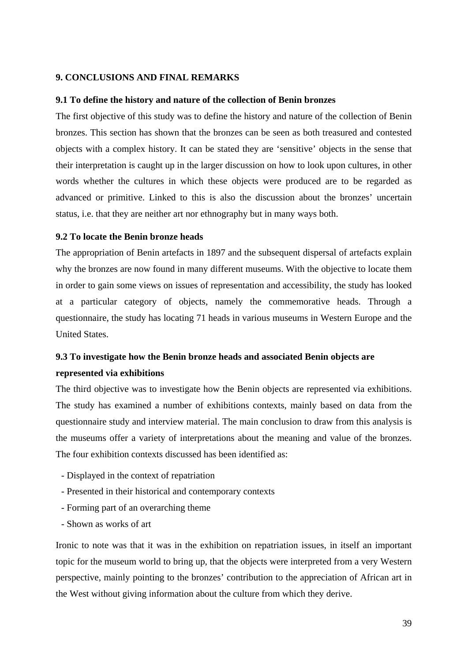# <span id="page-38-0"></span>**9. CONCLUSIONS AND FINAL REMARKS**

#### **9.1 To define the history and nature of the collection of Benin bronzes**

The first objective of this study was to define the history and nature of the collection of Benin bronzes. This section has shown that the bronzes can be seen as both treasured and contested objects with a complex history. It can be stated they are 'sensitive' objects in the sense that their interpretation is caught up in the larger discussion on how to look upon cultures, in other words whether the cultures in which these objects were produced are to be regarded as advanced or primitive. Linked to this is also the discussion about the bronzes' uncertain status, i.e. that they are neither art nor ethnography but in many ways both.

# **9.2 To locate the Benin bronze heads**

The appropriation of Benin artefacts in 1897 and the subsequent dispersal of artefacts explain why the bronzes are now found in many different museums. With the objective to locate them in order to gain some views on issues of representation and accessibility, the study has looked at a particular category of objects, namely the commemorative heads. Through a questionnaire, the study has locating 71 heads in various museums in Western Europe and the United States.

# **9.3 To investigate how the Benin bronze heads and associated Benin objects are represented via exhibitions**

The third objective was to investigate how the Benin objects are represented via exhibitions. The study has examined a number of exhibitions contexts, mainly based on data from the questionnaire study and interview material. The main conclusion to draw from this analysis is the museums offer a variety of interpretations about the meaning and value of the bronzes. The four exhibition contexts discussed has been identified as:

- Displayed in the context of repatriation
- Presented in their historical and contemporary contexts
- Forming part of an overarching theme
- Shown as works of art

Ironic to note was that it was in the exhibition on repatriation issues, in itself an important topic for the museum world to bring up, that the objects were interpreted from a very Western perspective, mainly pointing to the bronzes' contribution to the appreciation of African art in the West without giving information about the culture from which they derive.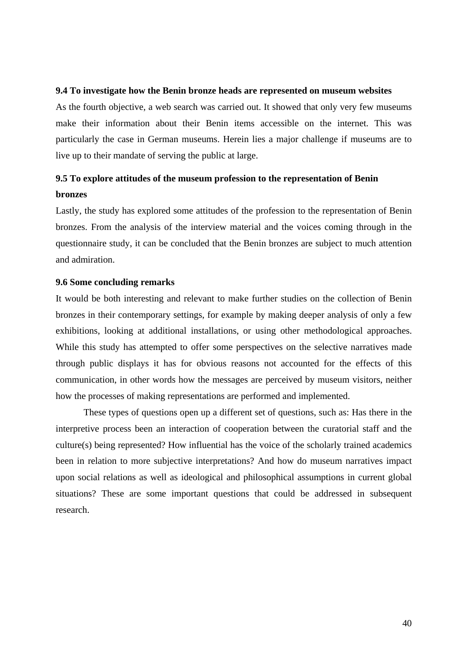#### <span id="page-39-0"></span>**9.4 To investigate how the Benin bronze heads are represented on museum websites**

As the fourth objective, a web search was carried out. It showed that only very few museums make their information about their Benin items accessible on the internet. This was particularly the case in German museums. Herein lies a major challenge if museums are to live up to their mandate of serving the public at large.

# **9.5 To explore attitudes of the museum profession to the representation of Benin bronzes**

Lastly, the study has explored some attitudes of the profession to the representation of Benin bronzes. From the analysis of the interview material and the voices coming through in the questionnaire study, it can be concluded that the Benin bronzes are subject to much attention and admiration.

### **9.6 Some concluding remarks**

It would be both interesting and relevant to make further studies on the collection of Benin bronzes in their contemporary settings, for example by making deeper analysis of only a few exhibitions, looking at additional installations, or using other methodological approaches. While this study has attempted to offer some perspectives on the selective narratives made through public displays it has for obvious reasons not accounted for the effects of this communication, in other words how the messages are perceived by museum visitors, neither how the processes of making representations are performed and implemented.

These types of questions open up a different set of questions, such as: Has there in the interpretive process been an interaction of cooperation between the curatorial staff and the culture(s) being represented? How influential has the voice of the scholarly trained academics been in relation to more subjective interpretations? And how do museum narratives impact upon social relations as well as ideological and philosophical assumptions in current global situations? These are some important questions that could be addressed in subsequent research.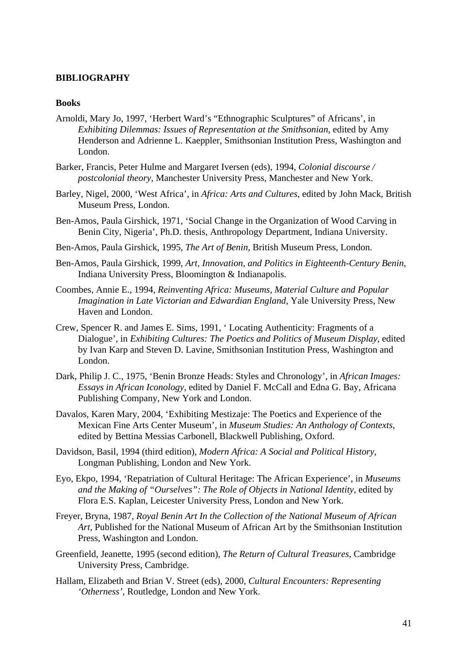# <span id="page-40-0"></span>**BIBLIOGRAPHY**

### **Books**

- Arnoldi, Mary Jo, 1997, 'Herbert Ward's "Ethnographic Sculptures" of Africans', in *Exhibiting Dilemmas: Issues of Representation at the Smithsonian*, edited by Amy Henderson and Adrienne L. Kaeppler, Smithsonian Institution Press, Washington and London.
- Barker, Francis, Peter Hulme and Margaret Iversen (eds), 1994, *Colonial discourse / postcolonial theory*, Manchester University Press, Manchester and New York.
- Barley, Nigel, 2000, 'West Africa', in *Africa: Arts and Cultures*, edited by John Mack, British Museum Press, London.
- Ben-Amos, Paula Girshick, 1971, 'Social Change in the Organization of Wood Carving in Benin City, Nigeria', Ph.D. thesis, Anthropology Department, Indiana University.
- Ben-Amos, Paula Girshick, 1995, *The Art of Benin*, British Museum Press, London.
- Ben-Amos, Paula Girshick, 1999, *Art, Innovation, and Politics in Eighteenth-Century Benin*, Indiana University Press, Bloomington & Indianapolis.
- Coombes, Annie E., 1994, *Reinventing Africa: Museums, Material Culture and Popular Imagination in Late Victorian and Edwardian England*, Yale University Press, New Haven and London.
- Crew, Spencer R. and James E. Sims, 1991, ' Locating Authenticity: Fragments of a Dialogue', in *Exhibiting Cultures: The Poetics and Politics of Museum Display*, edited by Ivan Karp and Steven D. Lavine, Smithsonian Institution Press, Washington and London.
- Dark, Philip J. C., 1975, 'Benin Bronze Heads: Styles and Chronology', in *African Images: Essays in African Iconology*, edited by Daniel F. McCall and Edna G. Bay, Africana Publishing Company, New York and London.
- Davalos, Karen Mary, 2004, 'Exhibiting Mestizaje: The Poetics and Experience of the Mexican Fine Arts Center Museum', in *Museum Studies: An Anthology of Contexts*, edited by Bettina Messias Carbonell, Blackwell Publishing, Oxford.
- Davidson, Basil, 1994 (third edition), *Modern Africa: A Social and Political History*, Longman Publishing, London and New York.
- Eyo, Ekpo, 1994, 'Repatriation of Cultural Heritage: The African Experience', in *Museums and the Making of "Ourselves": The Role of Objects in National Identity*, edited by Flora E.S. Kaplan, Leicester University Press, London and New York.
- Freyer, Bryna, 1987, *Royal Benin Art In the Collection of the National Museum of African Art*, Published for the National Museum of African Art by the Smithsonian Institution Press, Washington and London.
- Greenfield, Jeanette, 1995 (second edition), *The Return of Cultural Treasures*, Cambridge University Press, Cambridge.
- Hallam, Elizabeth and Brian V. Street (eds), 2000, *Cultural Encounters: Representing 'Otherness'*, Routledge, London and New York.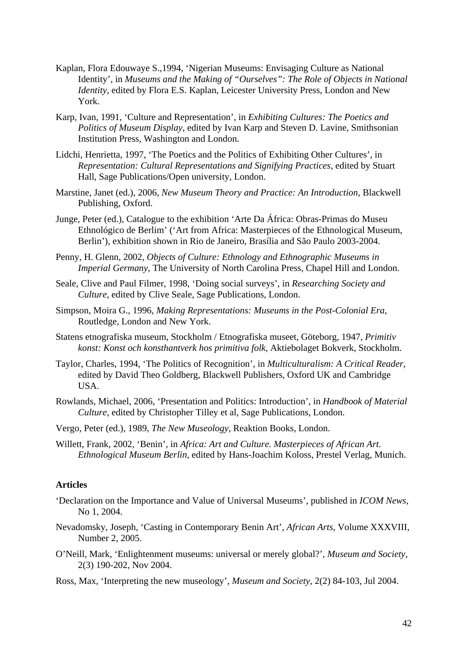- <span id="page-41-0"></span>Kaplan, Flora Edouwaye S.,1994, 'Nigerian Museums: Envisaging Culture as National Identity', in *Museums and the Making of "Ourselves": The Role of Objects in National Identity*, edited by Flora E.S. Kaplan, Leicester University Press, London and New York.
- Karp, Ivan, 1991, 'Culture and Representation', in *Exhibiting Cultures: The Poetics and Politics of Museum Display*, edited by Ivan Karp and Steven D. Lavine, Smithsonian Institution Press, Washington and London.
- Lidchi, Henrietta, 1997, 'The Poetics and the Politics of Exhibiting Other Cultures', in *Representation: Cultural Representations and Signifying Practices*, edited by Stuart Hall, Sage Publications/Open university, London.
- Marstine, Janet (ed.), 2006, *New Museum Theory and Practice: An Introduction*, Blackwell Publishing, Oxford.
- Junge, Peter (ed.), Catalogue to the exhibition 'Arte Da África: Obras-Primas do Museu Ethnológico de Berlim' ('Art from Africa: Masterpieces of the Ethnological Museum, Berlin'), exhibition shown in Rio de Janeiro, Brasília and São Paulo 2003-2004.
- Penny, H. Glenn, 2002, *Objects of Culture: Ethnology and Ethnographic Museums in Imperial Germany*, The University of North Carolina Press, Chapel Hill and London.
- Seale, Clive and Paul Filmer, 1998, 'Doing social surveys', in *Researching Society and Culture*, edited by Clive Seale, Sage Publications, London.
- Simpson, Moira G., 1996, *Making Representations: Museums in the Post-Colonial Era*, Routledge, London and New York.
- Statens etnografiska museum, Stockholm / Etnografiska museet, Göteborg, 1947, *Primitiv konst: Konst och konsthantverk hos primitiva folk*, Aktiebolaget Bokverk, Stockholm.
- Taylor, Charles, 1994, 'The Politics of Recognition', in *Multiculturalism: A Critical Reader*, edited by David Theo Goldberg, Blackwell Publishers, Oxford UK and Cambridge USA.
- Rowlands, Michael, 2006, 'Presentation and Politics: Introduction', in *Handbook of Material Culture*, edited by Christopher Tilley et al, Sage Publications, London.
- Vergo, Peter (ed.), 1989, *The New Museology*, Reaktion Books, London.
- Willett, Frank, 2002, 'Benin', in *Africa: Art and Culture. Masterpieces of African Art. Ethnological Museum Berlin*, edited by Hans-Joachim Koloss, Prestel Verlag, Munich.

# **Articles**

- 'Declaration on the Importance and Value of Universal Museums', published in *ICOM News*, No 1, 2004.
- Nevadomsky, Joseph, 'Casting in Contemporary Benin Art', *African Arts*, Volume XXXVIII, Number 2, 2005.
- O'Neill, Mark, 'Enlightenment museums: universal or merely global?', *Museum and Society*, 2(3) 190-202, Nov 2004.
- Ross, Max, 'Interpreting the new museology', *Museum and Society*, 2(2) 84-103, Jul 2004.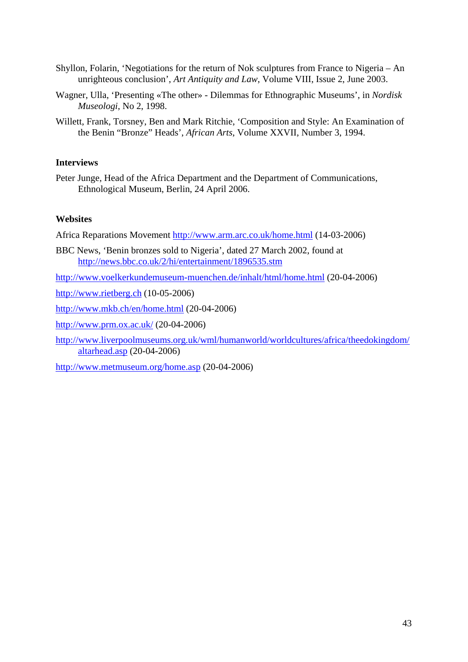- <span id="page-42-0"></span>Shyllon, Folarin, 'Negotiations for the return of Nok sculptures from France to Nigeria – An unrighteous conclusion', *Art Antiquity and Law*, Volume VIII, Issue 2, June 2003.
- Wagner, Ulla, 'Presenting «The other» Dilemmas for Ethnographic Museums', in *Nordisk Museologi*, No 2, 1998.
- Willett, Frank, Torsney, Ben and Mark Ritchie, 'Composition and Style: An Examination of the Benin "Bronze" Heads', *African Arts*, Volume XXVII, Number 3, 1994.

# **Interviews**

Peter Junge, Head of the Africa Department and the Department of Communications, Ethnological Museum, Berlin, 24 April 2006.

# **Websites**

Africa Reparations Movement <http://www.arm.arc.co.uk/home.html> (14-03-2006)

BBC News, 'Benin bronzes sold to Nigeria', dated 27 March 2002, found at <http://news.bbc.co.uk/2/hi/entertainment/1896535.stm>

<http://www.voelkerkundemuseum-muenchen.de/inhalt/html/home.html> (20-04-2006)

[http://www.rietberg.ch](http://www.rietberg.ch/) (10-05-2006)

<http://www.mkb.ch/en/home.html>(20-04-2006)

<http://www.prm.ox.ac.uk/>(20-04-2006)

[http://www.liverpoolmuseums.org.uk/wml/humanworld/worldcultures/africa/theedokingdom/](http://www.liverpoolmuseums.org.uk/wml/humanworld/worldcultures/africa/theedokingdom/altarhead.asp) [altarhead.asp](http://www.liverpoolmuseums.org.uk/wml/humanworld/worldcultures/africa/theedokingdom/altarhead.asp) (20-04-2006)

<http://www.metmuseum.org/home.asp> (20-04-2006)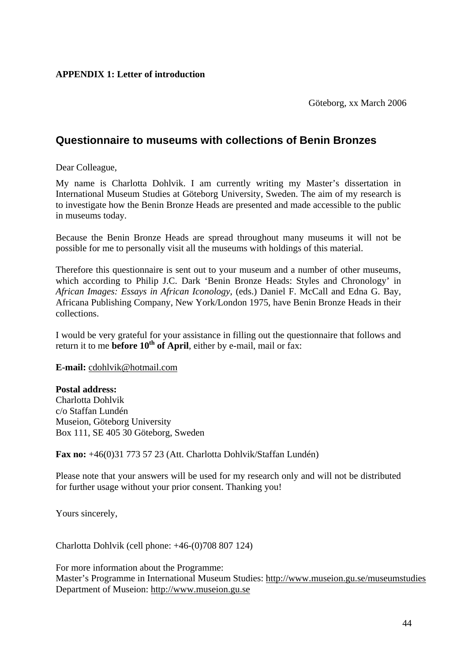Göteborg, xx March 2006

# <span id="page-43-0"></span>**Questionnaire to museums with collections of Benin Bronzes**

Dear Colleague,

My name is Charlotta Dohlvik. I am currently writing my Master's dissertation in International Museum Studies at Göteborg University, Sweden. The aim of my research is to investigate how the Benin Bronze Heads are presented and made accessible to the public in museums today.

Because the Benin Bronze Heads are spread throughout many museums it will not be possible for me to personally visit all the museums with holdings of this material.

Therefore this questionnaire is sent out to your museum and a number of other museums, which according to Philip J.C. Dark 'Benin Bronze Heads: Styles and Chronology' in *African Images: Essays in African Iconology*, (eds.) Daniel F. McCall and Edna G. Bay, Africana Publishing Company, New York/London 1975, have Benin Bronze Heads in their collections.

I would be very grateful for your assistance in filling out the questionnaire that follows and return it to me **before 10<sup>th</sup> of April**, either by e-mail, mail or fax:

**E-mail:** [cdohlvik@hotmail.com](mailto:cdohlvik@hotmail.com) 

**Postal address:** 

Charlotta Dohlvik c/o Staffan Lundén Museion, Göteborg University Box 111, SE 405 30 Göteborg, Sweden

**Fax no:** +46(0)31 773 57 23 (Att. Charlotta Dohlvik/Staffan Lundén)

Please note that your answers will be used for my research only and will not be distributed for further usage without your prior consent. Thanking you!

Yours sincerely,

Charlotta Dohlvik (cell phone: +46-(0)708 807 124)

For more information about the Programme: Master's Programme in International Museum Studies: http://www.museion.gu.se/museumstudies Department of Museion: [http://www.museion.gu.se](http://www.museion.gu.se/)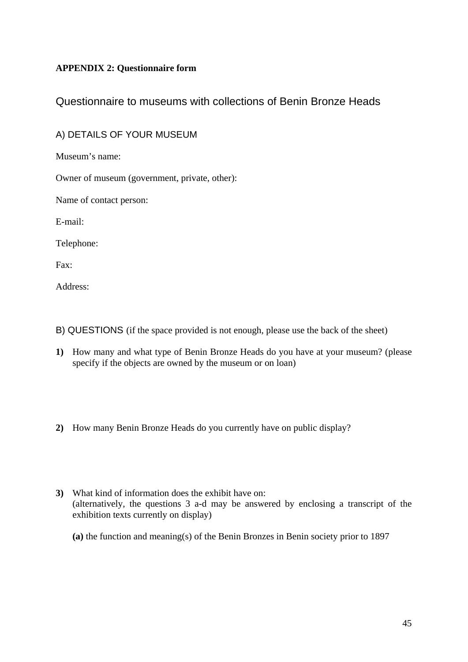# <span id="page-44-0"></span>**APPENDIX 2: Questionnaire form**

# Questionnaire to museums with collections of Benin Bronze Heads

# A) DETAILS OF YOUR MUSEUM

Museum's name:

Owner of museum (government, private, other):

Name of contact person:

E-mail:

Telephone:

Fax:

Address:

- B) QUESTIONS (if the space provided is not enough, please use the back of the sheet)
- **1)** How many and what type of Benin Bronze Heads do you have at your museum? (please specify if the objects are owned by the museum or on loan)
- **2)** How many Benin Bronze Heads do you currently have on public display?
- **3)** What kind of information does the exhibit have on: (alternatively, the questions 3 a-d may be answered by enclosing a transcript of the exhibition texts currently on display)
	- **(a)** the function and meaning(s) of the Benin Bronzes in Benin society prior to 1897